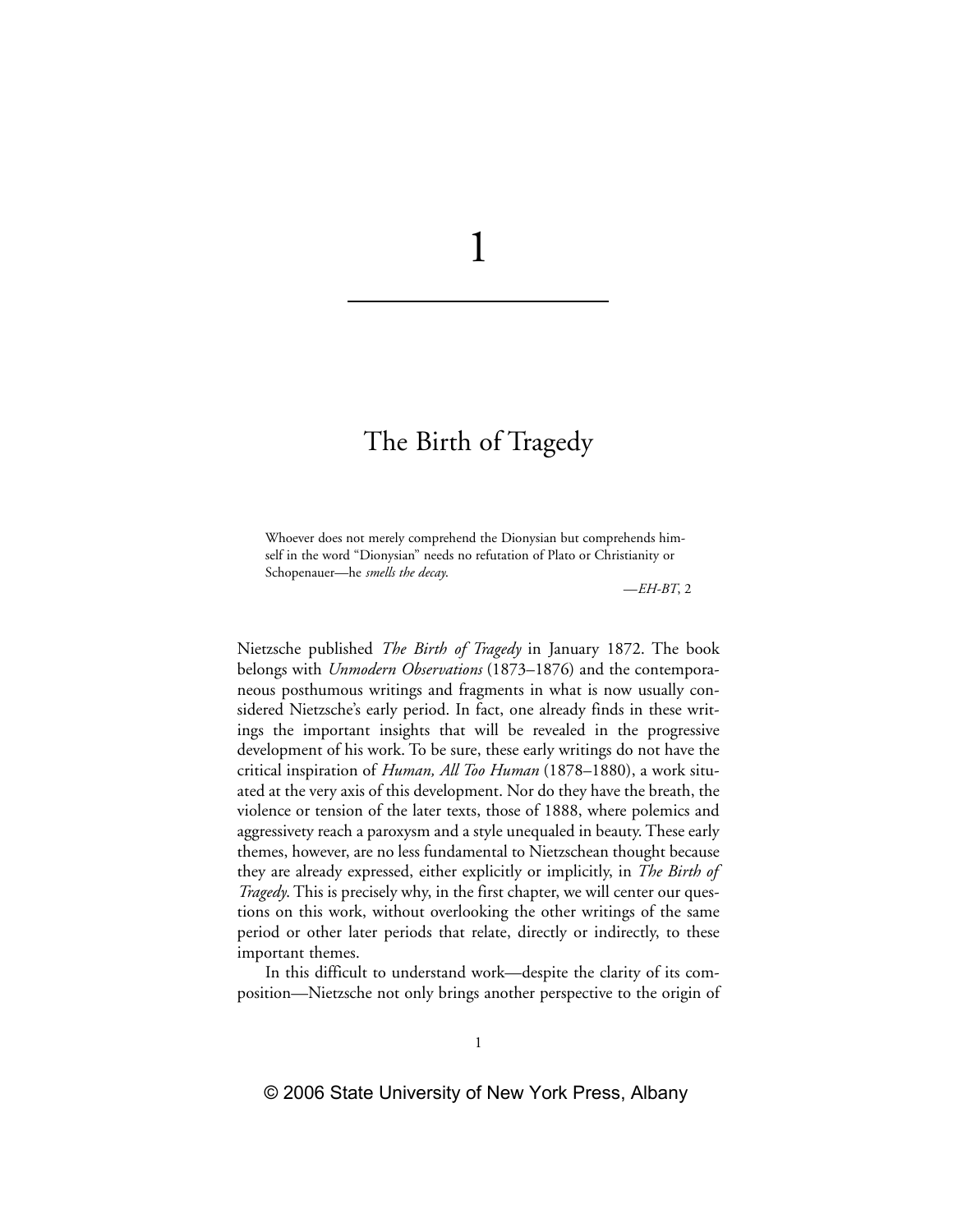# The Birth of Tragedy

Whoever does not merely comprehend the Dionysian but comprehends himself in the word "Dionysian" needs no refutation of Plato or Christianity or Schopenauer—he *smells the decay*.

—*EH-BT*, 2

Nietzsche published *The Birth of Tragedy* in January 1872. The book belongs with *Unmodern Observations* (1873–1876) and the contemporaneous posthumous writings and fragments in what is now usually considered Nietzsche's early period. In fact, one already finds in these writings the important insights that will be revealed in the progressive development of his work. To be sure, these early writings do not have the critical inspiration of *Human, All Too Human* (1878–1880), a work situated at the very axis of this development. Nor do they have the breath, the violence or tension of the later texts, those of 1888, where polemics and aggressivety reach a paroxysm and a style unequaled in beauty. These early themes, however, are no less fundamental to Nietzschean thought because they are already expressed, either explicitly or implicitly, in *The Birth of Tragedy*. This is precisely why, in the first chapter, we will center our questions on this work, without overlooking the other writings of the same period or other later periods that relate, directly or indirectly, to these important themes.

In this difficult to understand work—despite the clarity of its composition—Nietzsche not only brings another perspective to the origin of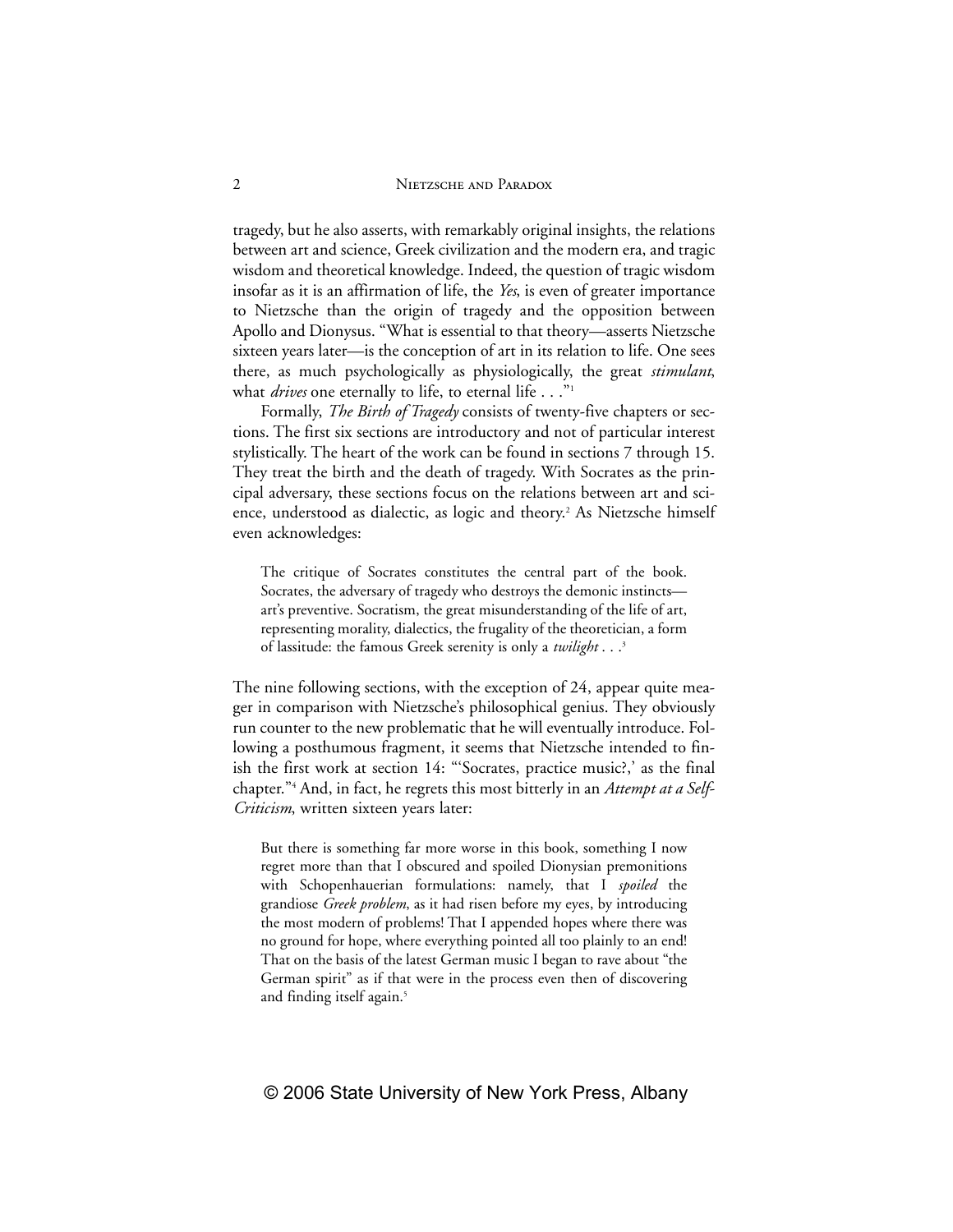tragedy, but he also asserts, with remarkably original insights, the relations between art and science, Greek civilization and the modern era, and tragic wisdom and theoretical knowledge. Indeed, the question of tragic wisdom insofar as it is an affirmation of life, the *Yes*, is even of greater importance to Nietzsche than the origin of tragedy and the opposition between Apollo and Dionysus. "What is essential to that theory—asserts Nietzsche sixteen years later—is the conception of art in its relation to life. One sees there, as much psychologically as physiologically, the great *stimulant*, what *drives* one eternally to life, to eternal life . . ."<sup>1</sup>

Formally, *The Birth of Tragedy* consists of twenty-five chapters or sections. The first six sections are introductory and not of particular interest stylistically. The heart of the work can be found in sections 7 through 15. They treat the birth and the death of tragedy. With Socrates as the principal adversary, these sections focus on the relations between art and science, understood as dialectic, as logic and theory.<sup>2</sup> As Nietzsche himself even acknowledges:

The critique of Socrates constitutes the central part of the book. Socrates, the adversary of tragedy who destroys the demonic instincts art's preventive. Socratism, the great misunderstanding of the life of art, representing morality, dialectics, the frugality of the theoretician, a form of lassitude: the famous Greek serenity is only a *twilight* ...3

The nine following sections, with the exception of 24, appear quite meager in comparison with Nietzsche's philosophical genius. They obviously run counter to the new problematic that he will eventually introduce. Following a posthumous fragment, it seems that Nietzsche intended to finish the first work at section 14: "'Socrates, practice music?,' as the final chapter."4 And, in fact, he regrets this most bitterly in an *Attempt at a Self-Criticism*, written sixteen years later:

But there is something far more worse in this book, something I now regret more than that I obscured and spoiled Dionysian premonitions with Schopenhauerian formulations: namely, that I *spoiled* the grandiose *Greek problem*, as it had risen before my eyes, by introducing the most modern of problems! That I appended hopes where there was no ground for hope, where everything pointed all too plainly to an end! That on the basis of the latest German music I began to rave about "the German spirit" as if that were in the process even then of discovering and finding itself again.<sup>5</sup>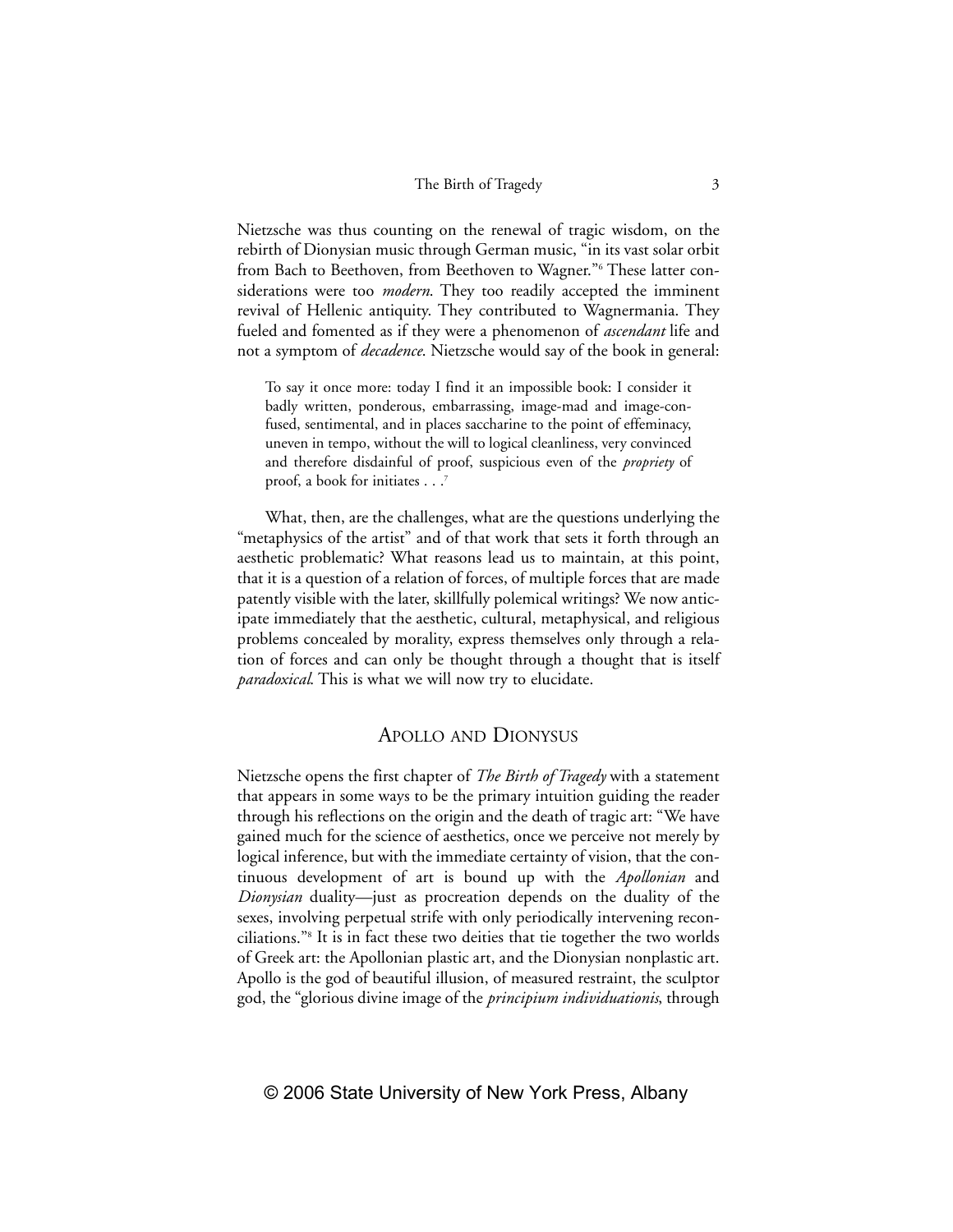Nietzsche was thus counting on the renewal of tragic wisdom, on the rebirth of Dionysian music through German music, "in its vast solar orbit from Bach to Beethoven, from Beethoven to Wagner."6 These latter considerations were too *modern*. They too readily accepted the imminent revival of Hellenic antiquity. They contributed to Wagnermania. They fueled and fomented as if they were a phenomenon of *ascendant* life and not a symptom of *decadence*. Nietzsche would say of the book in general:

To say it once more: today I find it an impossible book: I consider it badly written, ponderous, embarrassing, image-mad and image-confused, sentimental, and in places saccharine to the point of effeminacy, uneven in tempo, without the will to logical cleanliness, very convinced and therefore disdainful of proof, suspicious even of the *propriety* of proof, a book for initiates...7

What, then, are the challenges, what are the questions underlying the "metaphysics of the artist" and of that work that sets it forth through an aesthetic problematic? What reasons lead us to maintain, at this point, that it is a question of a relation of forces, of multiple forces that are made patently visible with the later, skillfully polemical writings? We now anticipate immediately that the aesthetic, cultural, metaphysical, and religious problems concealed by morality, express themselves only through a relation of forces and can only be thought through a thought that is itself *paradoxical*. This is what we will now try to elucidate.

### APOLLO AND DIONYSUS

Nietzsche opens the first chapter of *The Birth of Tragedy* with a statement that appears in some ways to be the primary intuition guiding the reader through his reflections on the origin and the death of tragic art: "We have gained much for the science of aesthetics, once we perceive not merely by logical inference, but with the immediate certainty of vision, that the continuous development of art is bound up with the *Apollonian* and *Dionysian* duality—just as procreation depends on the duality of the sexes, involving perpetual strife with only periodically intervening reconciliations."8 It is in fact these two deities that tie together the two worlds of Greek art: the Apollonian plastic art, and the Dionysian nonplastic art. Apollo is the god of beautiful illusion, of measured restraint, the sculptor god, the "glorious divine image of the *principium individuationis*, through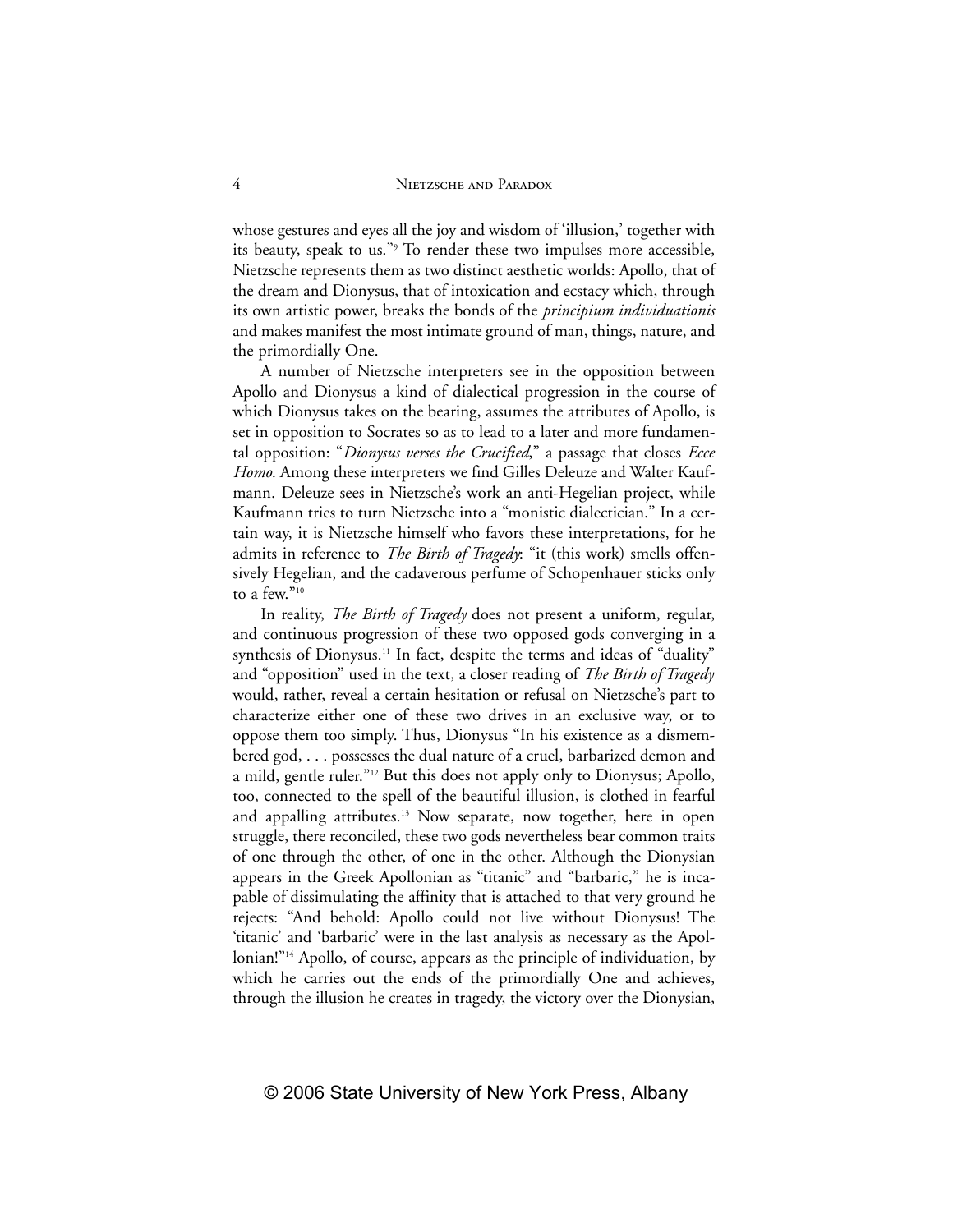whose gestures and eyes all the joy and wisdom of 'illusion,' together with its beauty, speak to us."9 To render these two impulses more accessible, Nietzsche represents them as two distinct aesthetic worlds: Apollo, that of the dream and Dionysus, that of intoxication and ecstacy which, through its own artistic power, breaks the bonds of the *principium individuationis* and makes manifest the most intimate ground of man, things, nature, and the primordially One.

A number of Nietzsche interpreters see in the opposition between Apollo and Dionysus a kind of dialectical progression in the course of which Dionysus takes on the bearing, assumes the attributes of Apollo, is set in opposition to Socrates so as to lead to a later and more fundamental opposition: "*Dionysus verses the Crucified*," a passage that closes *Ecce Homo*. Among these interpreters we find Gilles Deleuze and Walter Kaufmann. Deleuze sees in Nietzsche's work an anti-Hegelian project, while Kaufmann tries to turn Nietzsche into a "monistic dialectician." In a certain way, it is Nietzsche himself who favors these interpretations, for he admits in reference to *The Birth of Tragedy*: "it (this work) smells offensively Hegelian, and the cadaverous perfume of Schopenhauer sticks only to a few."10

In reality, *The Birth of Tragedy* does not present a uniform, regular, and continuous progression of these two opposed gods converging in a synthesis of Dionysus.<sup>11</sup> In fact, despite the terms and ideas of "duality" and "opposition" used in the text, a closer reading of *The Birth of Tragedy* would, rather, reveal a certain hesitation or refusal on Nietzsche's part to characterize either one of these two drives in an exclusive way, or to oppose them too simply. Thus, Dionysus "In his existence as a dismembered god, . . . possesses the dual nature of a cruel, barbarized demon and a mild, gentle ruler."12 But this does not apply only to Dionysus; Apollo, too, connected to the spell of the beautiful illusion, is clothed in fearful and appalling attributes.<sup>13</sup> Now separate, now together, here in open struggle, there reconciled, these two gods nevertheless bear common traits of one through the other, of one in the other. Although the Dionysian appears in the Greek Apollonian as "titanic" and "barbaric," he is incapable of dissimulating the affinity that is attached to that very ground he rejects: "And behold: Apollo could not live without Dionysus! The 'titanic' and 'barbaric' were in the last analysis as necessary as the Apollonian!"<sup>14</sup> Apollo, of course, appears as the principle of individuation, by which he carries out the ends of the primordially One and achieves, through the illusion he creates in tragedy, the victory over the Dionysian,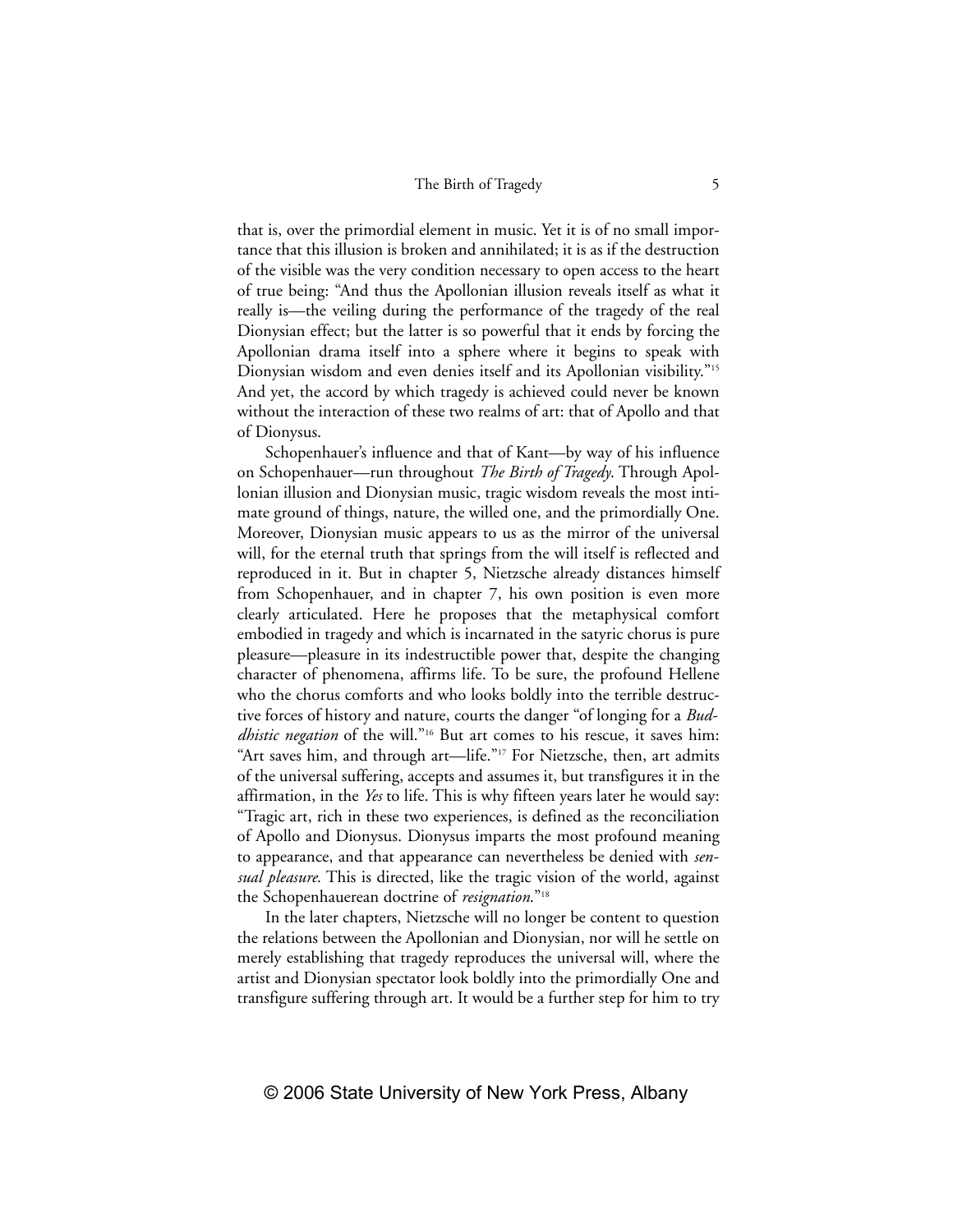that is, over the primordial element in music. Yet it is of no small importance that this illusion is broken and annihilated; it is as if the destruction of the visible was the very condition necessary to open access to the heart of true being: "And thus the Apollonian illusion reveals itself as what it really is—the veiling during the performance of the tragedy of the real Dionysian effect; but the latter is so powerful that it ends by forcing the Apollonian drama itself into a sphere where it begins to speak with Dionysian wisdom and even denies itself and its Apollonian visibility."<sup>15</sup> And yet, the accord by which tragedy is achieved could never be known without the interaction of these two realms of art: that of Apollo and that of Dionysus.

Schopenhauer's influence and that of Kant—by way of his influence on Schopenhauer—run throughout *The Birth of Tragedy*. Through Apollonian illusion and Dionysian music, tragic wisdom reveals the most intimate ground of things, nature, the willed one, and the primordially One. Moreover, Dionysian music appears to us as the mirror of the universal will, for the eternal truth that springs from the will itself is reflected and reproduced in it. But in chapter 5, Nietzsche already distances himself from Schopenhauer, and in chapter 7, his own position is even more clearly articulated. Here he proposes that the metaphysical comfort embodied in tragedy and which is incarnated in the satyric chorus is pure pleasure—pleasure in its indestructible power that, despite the changing character of phenomena, affirms life. To be sure, the profound Hellene who the chorus comforts and who looks boldly into the terrible destructive forces of history and nature, courts the danger "of longing for a *Buddhistic negation* of the will."16 But art comes to his rescue, it saves him: "Art saves him, and through art-life."<sup>17</sup> For Nietzsche, then, art admits of the universal suffering, accepts and assumes it, but transfigures it in the affirmation, in the *Yes* to life. This is why fifteen years later he would say: "Tragic art, rich in these two experiences, is defined as the reconciliation of Apollo and Dionysus. Dionysus imparts the most profound meaning to appearance, and that appearance can nevertheless be denied with *sensual pleasure*. This is directed, like the tragic vision of the world, against the Schopenhauerean doctrine of *resignation*."18

In the later chapters, Nietzsche will no longer be content to question the relations between the Apollonian and Dionysian, nor will he settle on merely establishing that tragedy reproduces the universal will, where the artist and Dionysian spectator look boldly into the primordially One and transfigure suffering through art. It would be a further step for him to try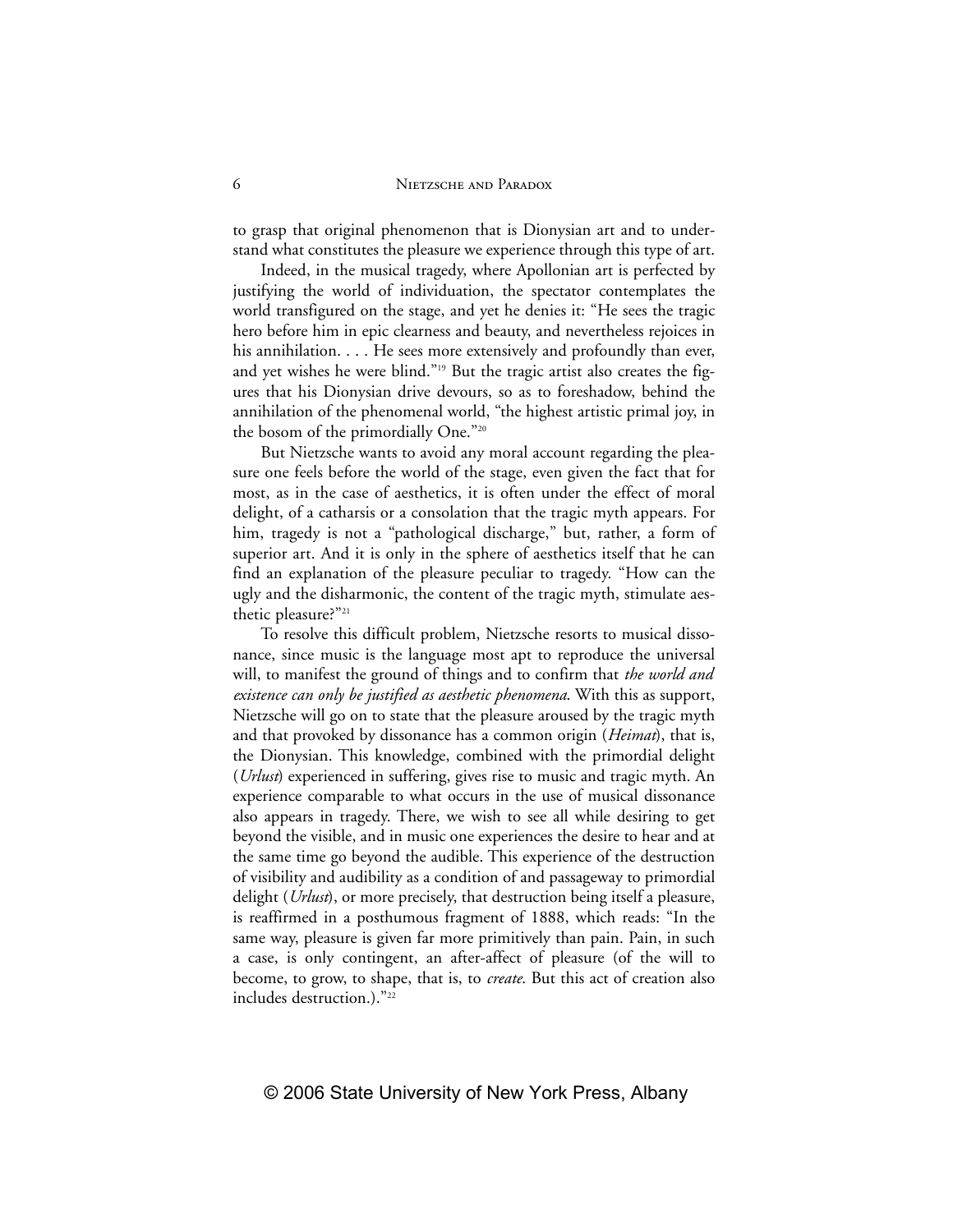to grasp that original phenomenon that is Dionysian art and to understand what constitutes the pleasure we experience through this type of art.

Indeed, in the musical tragedy, where Apollonian art is perfected by justifying the world of individuation, the spectator contemplates the world transfigured on the stage, and yet he denies it: "He sees the tragic hero before him in epic clearness and beauty, and nevertheless rejoices in his annihilation. . . . He sees more extensively and profoundly than ever, and yet wishes he were blind."19 But the tragic artist also creates the figures that his Dionysian drive devours, so as to foreshadow, behind the annihilation of the phenomenal world, "the highest artistic primal joy, in the bosom of the primordially One."20

But Nietzsche wants to avoid any moral account regarding the pleasure one feels before the world of the stage, even given the fact that for most, as in the case of aesthetics, it is often under the effect of moral delight, of a catharsis or a consolation that the tragic myth appears. For him, tragedy is not a "pathological discharge," but, rather, a form of superior art. And it is only in the sphere of aesthetics itself that he can find an explanation of the pleasure peculiar to tragedy. "How can the ugly and the disharmonic, the content of the tragic myth, stimulate aesthetic pleasure?"21

To resolve this difficult problem, Nietzsche resorts to musical dissonance, since music is the language most apt to reproduce the universal will, to manifest the ground of things and to confirm that *the world and existence can only be justified as aesthetic phenomena*. With this as support, Nietzsche will go on to state that the pleasure aroused by the tragic myth and that provoked by dissonance has a common origin (*Heimat*), that is, the Dionysian. This knowledge, combined with the primordial delight (*Urlust*) experienced in suffering, gives rise to music and tragic myth. An experience comparable to what occurs in the use of musical dissonance also appears in tragedy. There, we wish to see all while desiring to get beyond the visible, and in music one experiences the desire to hear and at the same time go beyond the audible. This experience of the destruction of visibility and audibility as a condition of and passageway to primordial delight (*Urlust*), or more precisely, that destruction being itself a pleasure, is reaffirmed in a posthumous fragment of 1888, which reads: "In the same way, pleasure is given far more primitively than pain. Pain, in such a case, is only contingent, an after-affect of pleasure (of the will to become, to grow, to shape, that is, to *create*. But this act of creation also includes destruction.)."22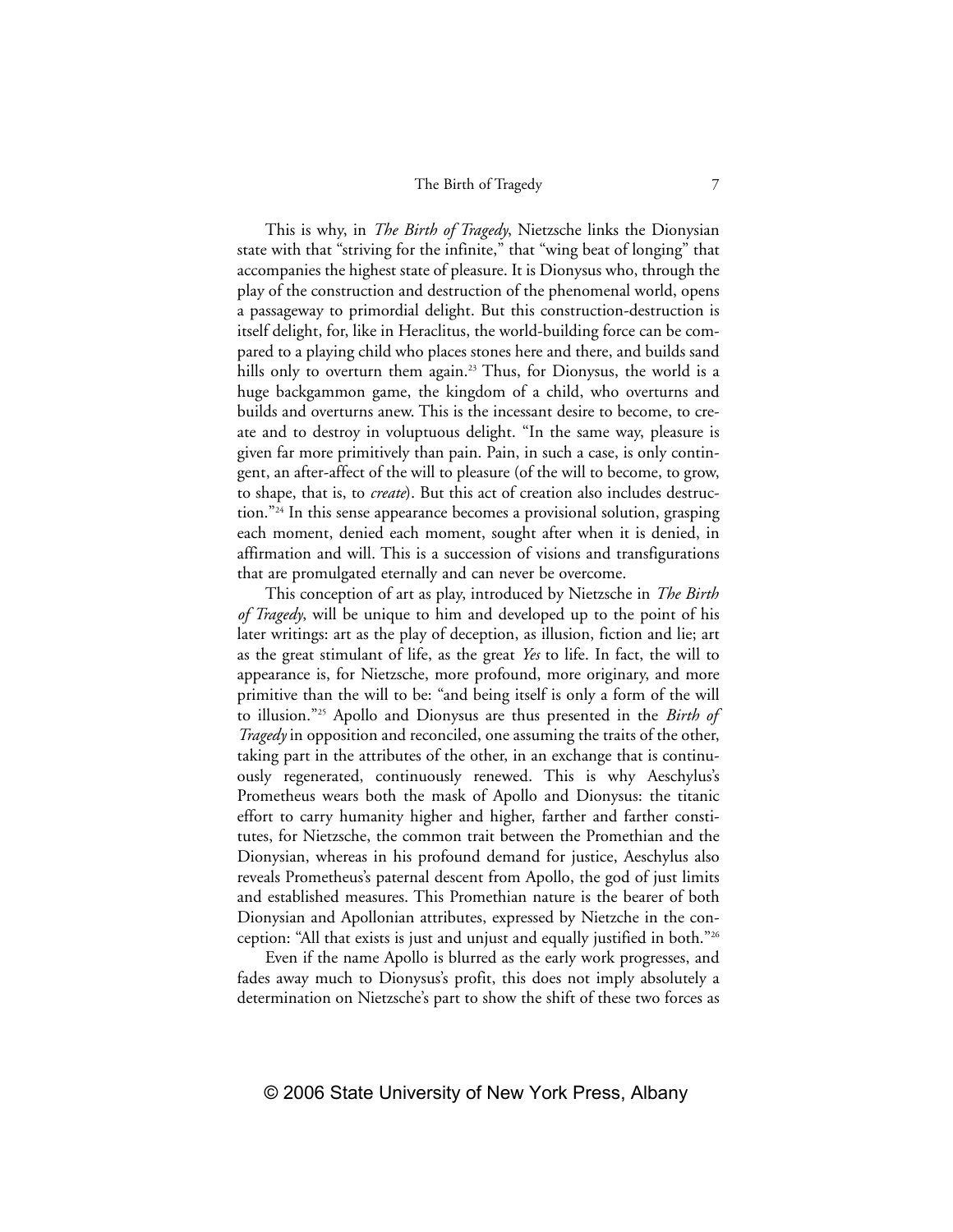This is why, in *The Birth of Tragedy*, Nietzsche links the Dionysian state with that "striving for the infinite," that "wing beat of longing" that accompanies the highest state of pleasure. It is Dionysus who, through the play of the construction and destruction of the phenomenal world, opens a passageway to primordial delight. But this construction-destruction is itself delight, for, like in Heraclitus, the world-building force can be compared to a playing child who places stones here and there, and builds sand hills only to overturn them again.<sup>23</sup> Thus, for Dionysus, the world is a huge backgammon game, the kingdom of a child, who overturns and builds and overturns anew. This is the incessant desire to become, to create and to destroy in voluptuous delight. "In the same way, pleasure is given far more primitively than pain. Pain, in such a case, is only contingent, an after-affect of the will to pleasure (of the will to become, to grow, to shape, that is, to *create*). But this act of creation also includes destruction."24 In this sense appearance becomes a provisional solution, grasping each moment, denied each moment, sought after when it is denied, in affirmation and will. This is a succession of visions and transfigurations that are promulgated eternally and can never be overcome.

This conception of art as play, introduced by Nietzsche in *The Birth of Tragedy*, will be unique to him and developed up to the point of his later writings: art as the play of deception, as illusion, fiction and lie; art as the great stimulant of life, as the great *Yes* to life. In fact, the will to appearance is, for Nietzsche, more profound, more originary, and more primitive than the will to be: "and being itself is only a form of the will to illusion."25 Apollo and Dionysus are thus presented in the *Birth of Tragedy* in opposition and reconciled, one assuming the traits of the other, taking part in the attributes of the other, in an exchange that is continuously regenerated, continuously renewed. This is why Aeschylus's Prometheus wears both the mask of Apollo and Dionysus: the titanic effort to carry humanity higher and higher, farther and farther constitutes, for Nietzsche, the common trait between the Promethian and the Dionysian, whereas in his profound demand for justice, Aeschylus also reveals Prometheus's paternal descent from Apollo, the god of just limits and established measures. This Promethian nature is the bearer of both Dionysian and Apollonian attributes, expressed by Nietzche in the conception: "All that exists is just and unjust and equally justified in both."26

Even if the name Apollo is blurred as the early work progresses, and fades away much to Dionysus's profit, this does not imply absolutely a determination on Nietzsche's part to show the shift of these two forces as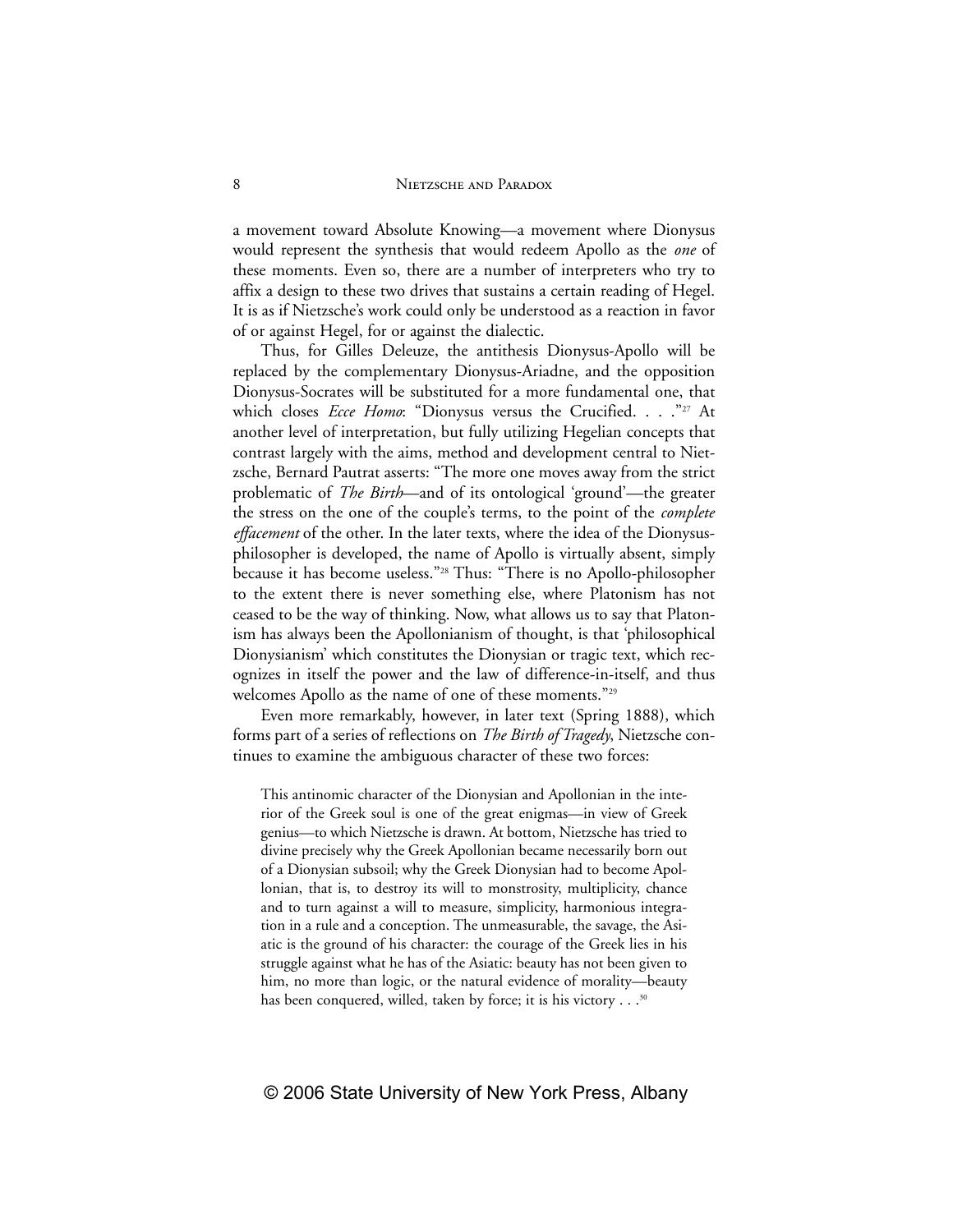a movement toward Absolute Knowing—a movement where Dionysus would represent the synthesis that would redeem Apollo as the *one* of these moments. Even so, there are a number of interpreters who try to affix a design to these two drives that sustains a certain reading of Hegel. It is as if Nietzsche's work could only be understood as a reaction in favor of or against Hegel, for or against the dialectic.

Thus, for Gilles Deleuze, the antithesis Dionysus-Apollo will be replaced by the complementary Dionysus-Ariadne, and the opposition Dionysus-Socrates will be substituted for a more fundamental one, that which closes *Ecce Homo*: "Dionysus versus the Crucified. . . . . "27 At another level of interpretation, but fully utilizing Hegelian concepts that contrast largely with the aims, method and development central to Nietzsche, Bernard Pautrat asserts: "The more one moves away from the strict problematic of *The Birth*—and of its ontological 'ground'—the greater the stress on the one of the couple's terms, to the point of the *complete effacement* of the other. In the later texts, where the idea of the Dionysusphilosopher is developed, the name of Apollo is virtually absent, simply because it has become useless."28 Thus: "There is no Apollo-philosopher to the extent there is never something else, where Platonism has not ceased to be the way of thinking. Now, what allows us to say that Platonism has always been the Apollonianism of thought, is that 'philosophical Dionysianism' which constitutes the Dionysian or tragic text, which recognizes in itself the power and the law of difference-in-itself, and thus welcomes Apollo as the name of one of these moments."29

Even more remarkably, however, in later text (Spring 1888), which forms part of a series of reflections on *The Birth of Tragedy*, Nietzsche continues to examine the ambiguous character of these two forces:

This antinomic character of the Dionysian and Apollonian in the interior of the Greek soul is one of the great enigmas—in view of Greek genius—to which Nietzsche is drawn. At bottom, Nietzsche has tried to divine precisely why the Greek Apollonian became necessarily born out of a Dionysian subsoil; why the Greek Dionysian had to become Apollonian, that is, to destroy its will to monstrosity, multiplicity, chance and to turn against a will to measure, simplicity, harmonious integration in a rule and a conception. The unmeasurable, the savage, the Asiatic is the ground of his character: the courage of the Greek lies in his struggle against what he has of the Asiatic: beauty has not been given to him, no more than logic, or the natural evidence of morality—beauty has been conquered, willed, taken by force; it is his victory . . .<sup>30</sup>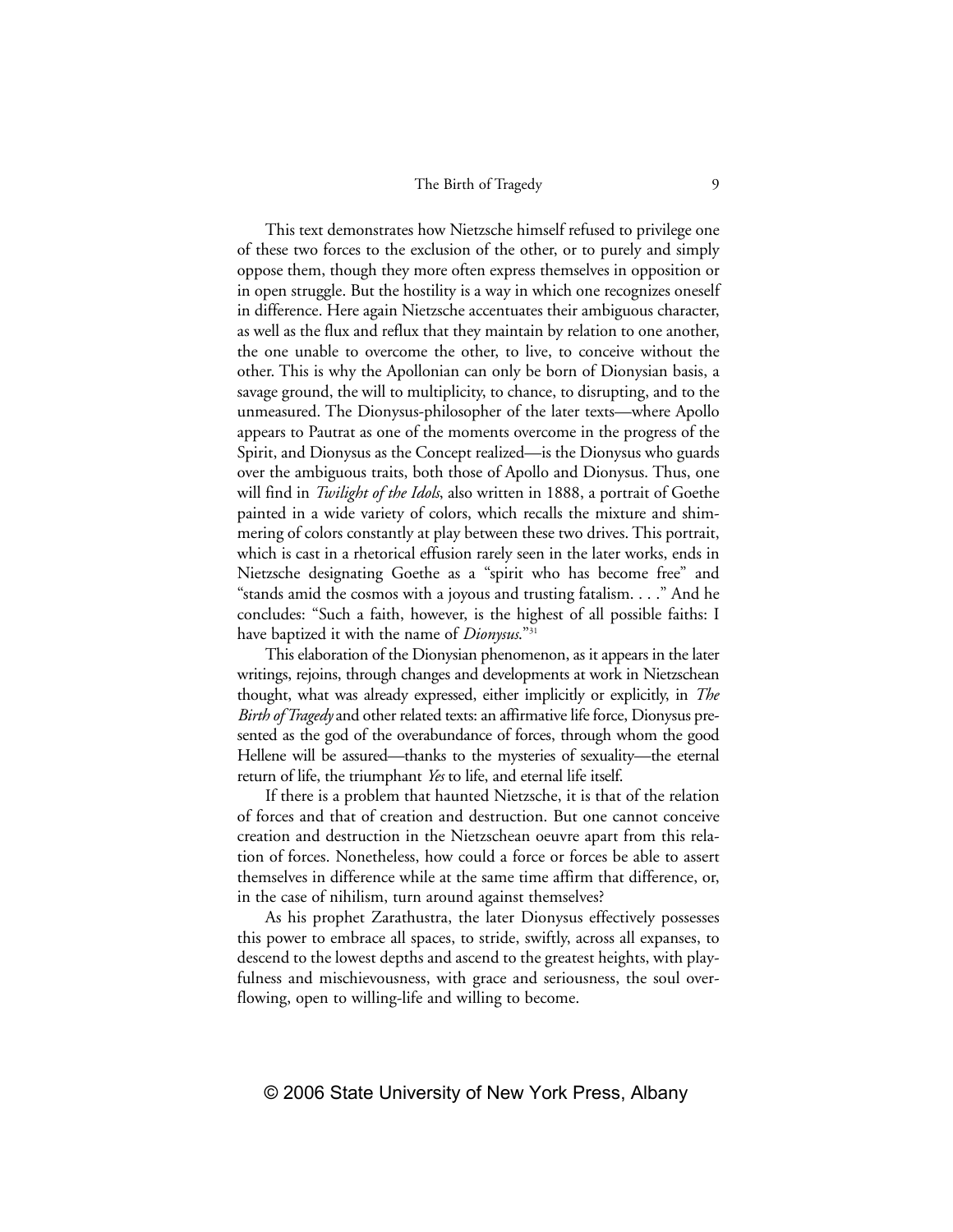This text demonstrates how Nietzsche himself refused to privilege one of these two forces to the exclusion of the other, or to purely and simply oppose them, though they more often express themselves in opposition or in open struggle. But the hostility is a way in which one recognizes oneself in difference. Here again Nietzsche accentuates their ambiguous character, as well as the flux and reflux that they maintain by relation to one another, the one unable to overcome the other, to live, to conceive without the other. This is why the Apollonian can only be born of Dionysian basis, a savage ground, the will to multiplicity, to chance, to disrupting, and to the unmeasured. The Dionysus-philosopher of the later texts—where Apollo appears to Pautrat as one of the moments overcome in the progress of the Spirit, and Dionysus as the Concept realized—is the Dionysus who guards over the ambiguous traits, both those of Apollo and Dionysus. Thus, one will find in *Twilight of the Idols*, also written in 1888, a portrait of Goethe painted in a wide variety of colors, which recalls the mixture and shimmering of colors constantly at play between these two drives. This portrait, which is cast in a rhetorical effusion rarely seen in the later works, ends in Nietzsche designating Goethe as a "spirit who has become free" and "stands amid the cosmos with a joyous and trusting fatalism. . . ." And he concludes: "Such a faith, however, is the highest of all possible faiths: I have baptized it with the name of *Dionysus*."31

This elaboration of the Dionysian phenomenon, as it appears in the later writings, rejoins, through changes and developments at work in Nietzschean thought, what was already expressed, either implicitly or explicitly, in *The Birth of Tragedy* and other related texts: an affirmative life force, Dionysus presented as the god of the overabundance of forces, through whom the good Hellene will be assured—thanks to the mysteries of sexuality—the eternal return of life, the triumphant *Yes* to life, and eternal life itself.

If there is a problem that haunted Nietzsche, it is that of the relation of forces and that of creation and destruction. But one cannot conceive creation and destruction in the Nietzschean oeuvre apart from this relation of forces. Nonetheless, how could a force or forces be able to assert themselves in difference while at the same time affirm that difference, or, in the case of nihilism, turn around against themselves?

As his prophet Zarathustra, the later Dionysus effectively possesses this power to embrace all spaces, to stride, swiftly, across all expanses, to descend to the lowest depths and ascend to the greatest heights, with playfulness and mischievousness, with grace and seriousness, the soul overflowing, open to willing-life and willing to become.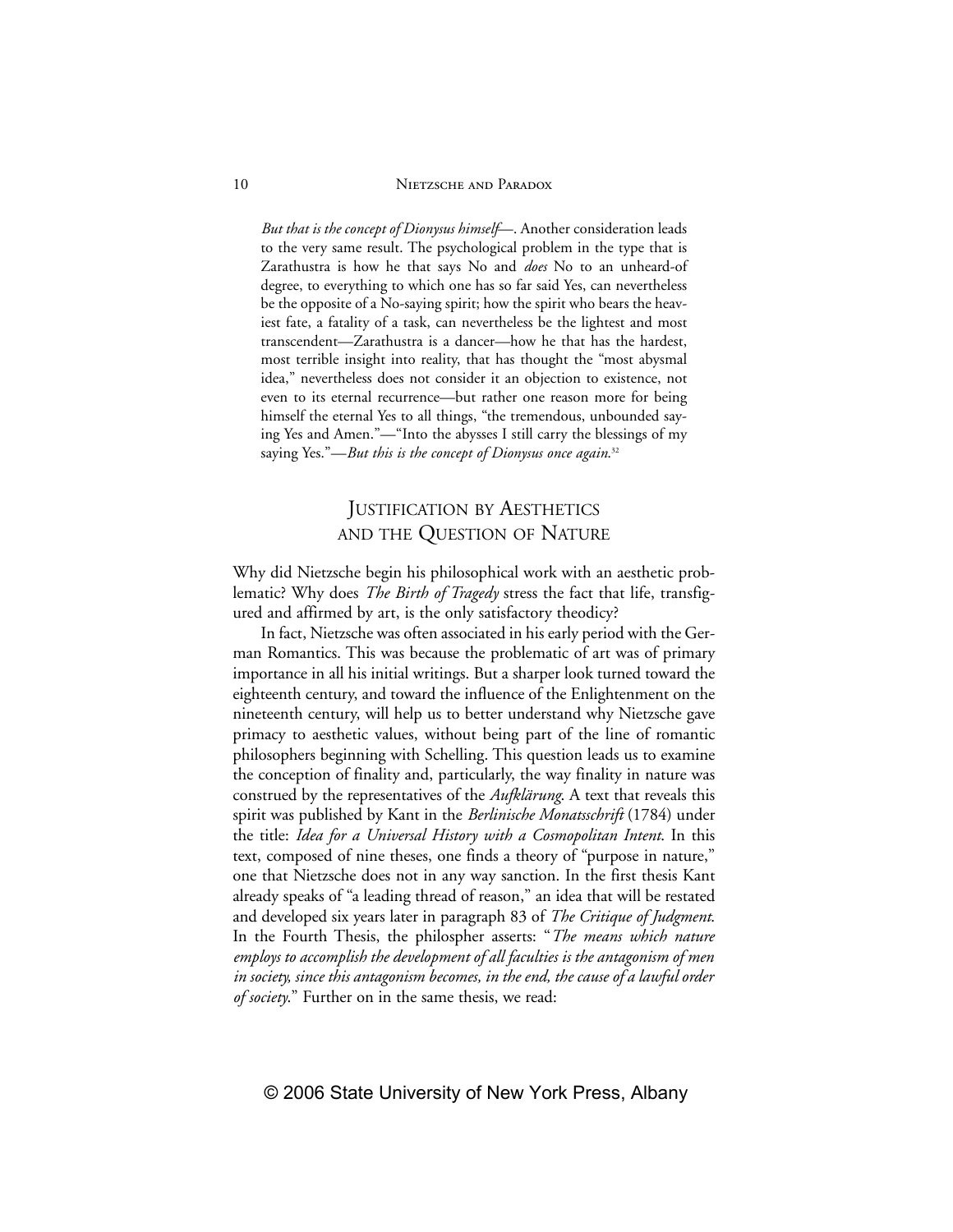*But that is the concept of Dionysus himself*—. Another consideration leads to the very same result. The psychological problem in the type that is Zarathustra is how he that says No and *does* No to an unheard-of degree, to everything to which one has so far said Yes, can nevertheless be the opposite of a No-saying spirit; how the spirit who bears the heaviest fate, a fatality of a task, can nevertheless be the lightest and most transcendent—Zarathustra is a dancer—how he that has the hardest, most terrible insight into reality, that has thought the "most abysmal idea," nevertheless does not consider it an objection to existence, not even to its eternal recurrence—but rather one reason more for being himself the eternal Yes to all things, "the tremendous, unbounded saying Yes and Amen."—"Into the abysses I still carry the blessings of my saying Yes."—*But this is the concept of Dionysus once again*. 32

# JUSTIFICATION BY AESTHETICS AND THE QUESTION OF NATURE

Why did Nietzsche begin his philosophical work with an aesthetic problematic? Why does *The Birth of Tragedy* stress the fact that life, transfigured and affirmed by art, is the only satisfactory theodicy?

In fact, Nietzsche was often associated in his early period with the German Romantics. This was because the problematic of art was of primary importance in all his initial writings. But a sharper look turned toward the eighteenth century, and toward the influence of the Enlightenment on the nineteenth century, will help us to better understand why Nietzsche gave primacy to aesthetic values, without being part of the line of romantic philosophers beginning with Schelling. This question leads us to examine the conception of finality and, particularly, the way finality in nature was construed by the representatives of the *Aufklärung*. A text that reveals this spirit was published by Kant in the *Berlinische Monatsschrift* (1784) under the title: *Idea for a Universal History with a Cosmopolitan Intent*. In this text, composed of nine theses, one finds a theory of "purpose in nature," one that Nietzsche does not in any way sanction. In the first thesis Kant already speaks of "a leading thread of reason," an idea that will be restated and developed six years later in paragraph 83 of *The Critique of Judgment*. In the Fourth Thesis, the philospher asserts: "*The means which nature employs to accomplish the development of all faculties is the antagonism of men in society, since this antagonism becomes, in the end, the cause of a lawful order of society*." Further on in the same thesis, we read: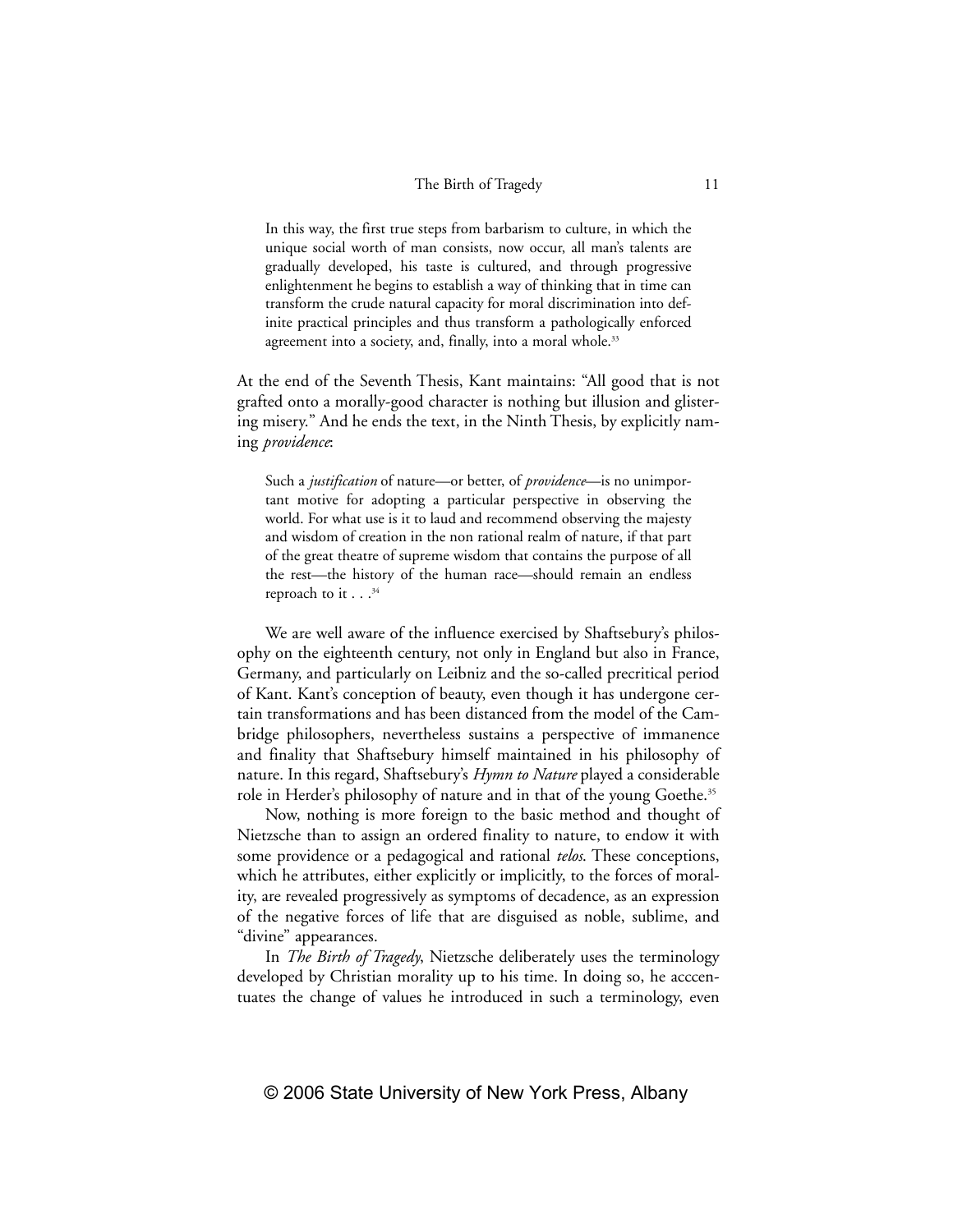In this way, the first true steps from barbarism to culture, in which the unique social worth of man consists, now occur, all man's talents are gradually developed, his taste is cultured, and through progressive enlightenment he begins to establish a way of thinking that in time can transform the crude natural capacity for moral discrimination into definite practical principles and thus transform a pathologically enforced agreement into a society, and, finally, into a moral whole.<sup>33</sup>

At the end of the Seventh Thesis, Kant maintains: "All good that is not grafted onto a morally-good character is nothing but illusion and glistering misery." And he ends the text, in the Ninth Thesis, by explicitly naming *providence*:

Such a *justification* of nature—or better, of *providence*—is no unimportant motive for adopting a particular perspective in observing the world. For what use is it to laud and recommend observing the majesty and wisdom of creation in the non rational realm of nature, if that part of the great theatre of supreme wisdom that contains the purpose of all the rest—the history of the human race—should remain an endless reproach to it... $34$ 

We are well aware of the influence exercised by Shaftsebury's philosophy on the eighteenth century, not only in England but also in France, Germany, and particularly on Leibniz and the so-called precritical period of Kant. Kant's conception of beauty, even though it has undergone certain transformations and has been distanced from the model of the Cambridge philosophers, nevertheless sustains a perspective of immanence and finality that Shaftsebury himself maintained in his philosophy of nature. In this regard, Shaftsebury's *Hymn to Nature* played a considerable role in Herder's philosophy of nature and in that of the young Goethe.<sup>35</sup>

Now, nothing is more foreign to the basic method and thought of Nietzsche than to assign an ordered finality to nature, to endow it with some providence or a pedagogical and rational *telos*. These conceptions, which he attributes, either explicitly or implicitly, to the forces of morality, are revealed progressively as symptoms of decadence, as an expression of the negative forces of life that are disguised as noble, sublime, and "divine" appearances.

In *The Birth of Tragedy*, Nietzsche deliberately uses the terminology developed by Christian morality up to his time. In doing so, he acccentuates the change of values he introduced in such a terminology, even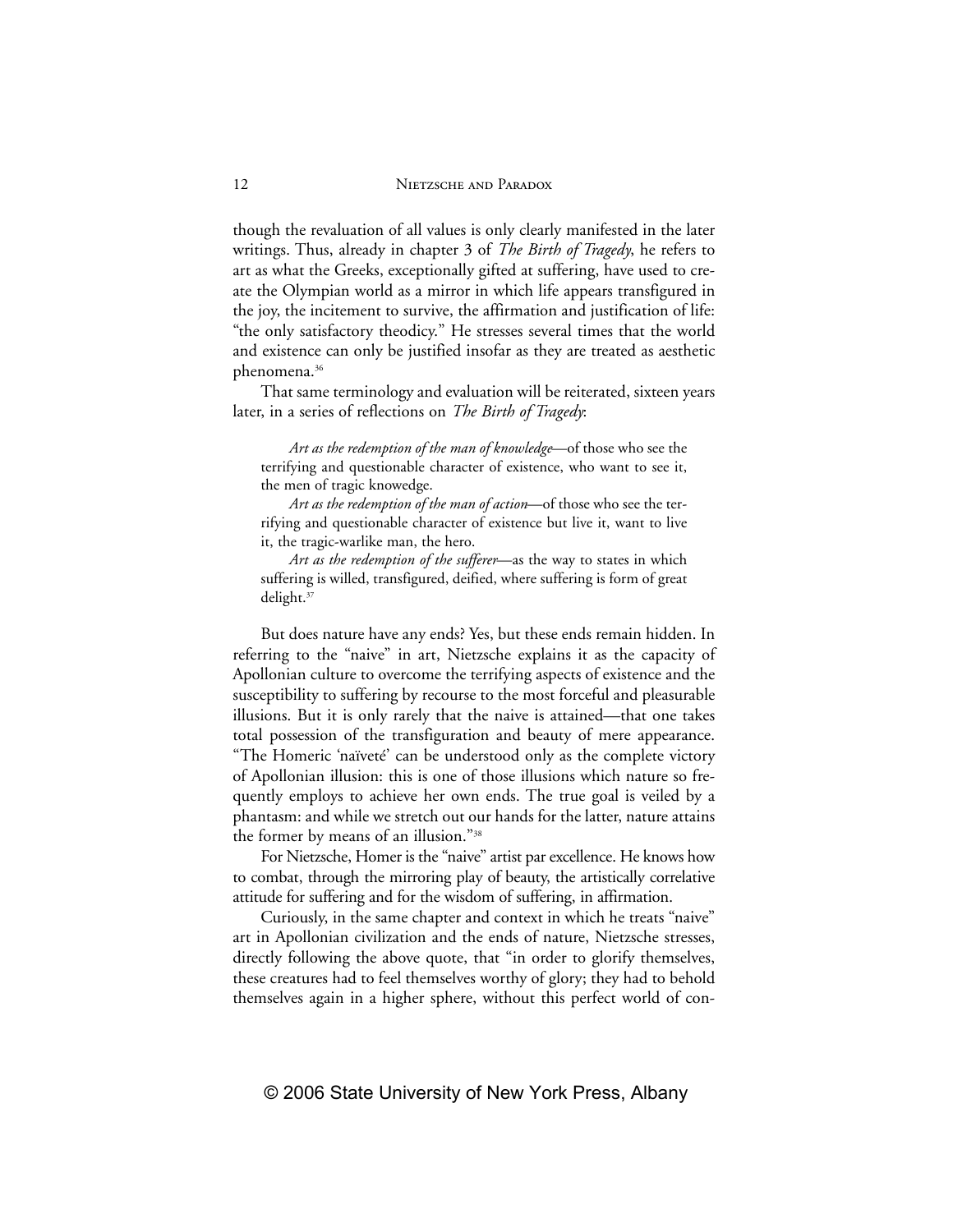though the revaluation of all values is only clearly manifested in the later writings. Thus, already in chapter 3 of *The Birth of Tragedy*, he refers to art as what the Greeks, exceptionally gifted at suffering, have used to create the Olympian world as a mirror in which life appears transfigured in the joy, the incitement to survive, the affirmation and justification of life: "the only satisfactory theodicy." He stresses several times that the world and existence can only be justified insofar as they are treated as aesthetic phenomena.36

That same terminology and evaluation will be reiterated, sixteen years later, in a series of reflections on *The Birth of Tragedy*:

*Art as the redemption of the man of knowledge*—of those who see the terrifying and questionable character of existence, who want to see it, the men of tragic knowedge.

*Art as the redemption of the man of action*—of those who see the terrifying and questionable character of existence but live it, want to live it, the tragic-warlike man, the hero.

*Art as the redemption of the sufferer*—as the way to states in which suffering is willed, transfigured, deified, where suffering is form of great delight.37

But does nature have any ends? Yes, but these ends remain hidden. In referring to the "naive" in art, Nietzsche explains it as the capacity of Apollonian culture to overcome the terrifying aspects of existence and the susceptibility to suffering by recourse to the most forceful and pleasurable illusions. But it is only rarely that the naive is attained—that one takes total possession of the transfiguration and beauty of mere appearance. "The Homeric 'naïveté' can be understood only as the complete victory of Apollonian illusion: this is one of those illusions which nature so frequently employs to achieve her own ends. The true goal is veiled by a phantasm: and while we stretch out our hands for the latter, nature attains the former by means of an illusion."38

For Nietzsche, Homer is the "naive" artist par excellence. He knows how to combat, through the mirroring play of beauty, the artistically correlative attitude for suffering and for the wisdom of suffering, in affirmation.

Curiously, in the same chapter and context in which he treats "naive" art in Apollonian civilization and the ends of nature, Nietzsche stresses, directly following the above quote, that "in order to glorify themselves, these creatures had to feel themselves worthy of glory; they had to behold themselves again in a higher sphere, without this perfect world of con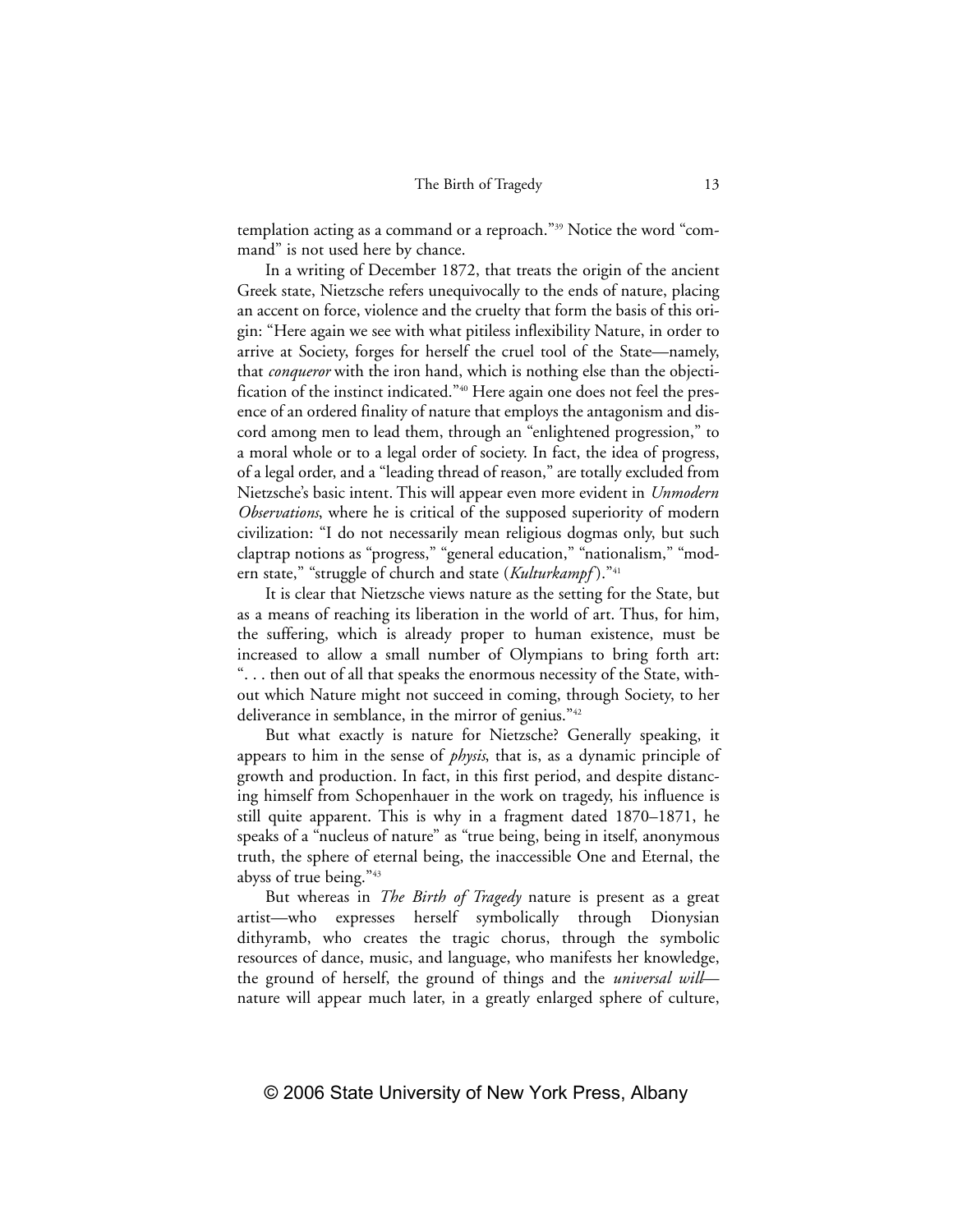templation acting as a command or a reproach."39 Notice the word "command" is not used here by chance.

In a writing of December 1872, that treats the origin of the ancient Greek state, Nietzsche refers unequivocally to the ends of nature, placing an accent on force, violence and the cruelty that form the basis of this origin: "Here again we see with what pitiless inflexibility Nature, in order to arrive at Society, forges for herself the cruel tool of the State—namely, that *conqueror* with the iron hand, which is nothing else than the objectification of the instinct indicated."40 Here again one does not feel the presence of an ordered finality of nature that employs the antagonism and discord among men to lead them, through an "enlightened progression," to a moral whole or to a legal order of society. In fact, the idea of progress, of a legal order, and a "leading thread of reason," are totally excluded from Nietzsche's basic intent. This will appear even more evident in *Unmodern Observations*, where he is critical of the supposed superiority of modern civilization: "I do not necessarily mean religious dogmas only, but such claptrap notions as "progress," "general education," "nationalism," "modern state," "struggle of church and state (*Kulturkampf*)."<sup>41</sup>

It is clear that Nietzsche views nature as the setting for the State, but as a means of reaching its liberation in the world of art. Thus, for him, the suffering, which is already proper to human existence, must be increased to allow a small number of Olympians to bring forth art: ". . . then out of all that speaks the enormous necessity of the State, without which Nature might not succeed in coming, through Society, to her deliverance in semblance, in the mirror of genius."42

But what exactly is nature for Nietzsche? Generally speaking, it appears to him in the sense of *physis*, that is, as a dynamic principle of growth and production. In fact, in this first period, and despite distancing himself from Schopenhauer in the work on tragedy, his influence is still quite apparent. This is why in a fragment dated 1870–1871, he speaks of a "nucleus of nature" as "true being, being in itself, anonymous truth, the sphere of eternal being, the inaccessible One and Eternal, the abyss of true being."43

But whereas in *The Birth of Tragedy* nature is present as a great artist—who expresses herself symbolically through Dionysian dithyramb, who creates the tragic chorus, through the symbolic resources of dance, music, and language, who manifests her knowledge, the ground of herself, the ground of things and the *universal will* nature will appear much later, in a greatly enlarged sphere of culture,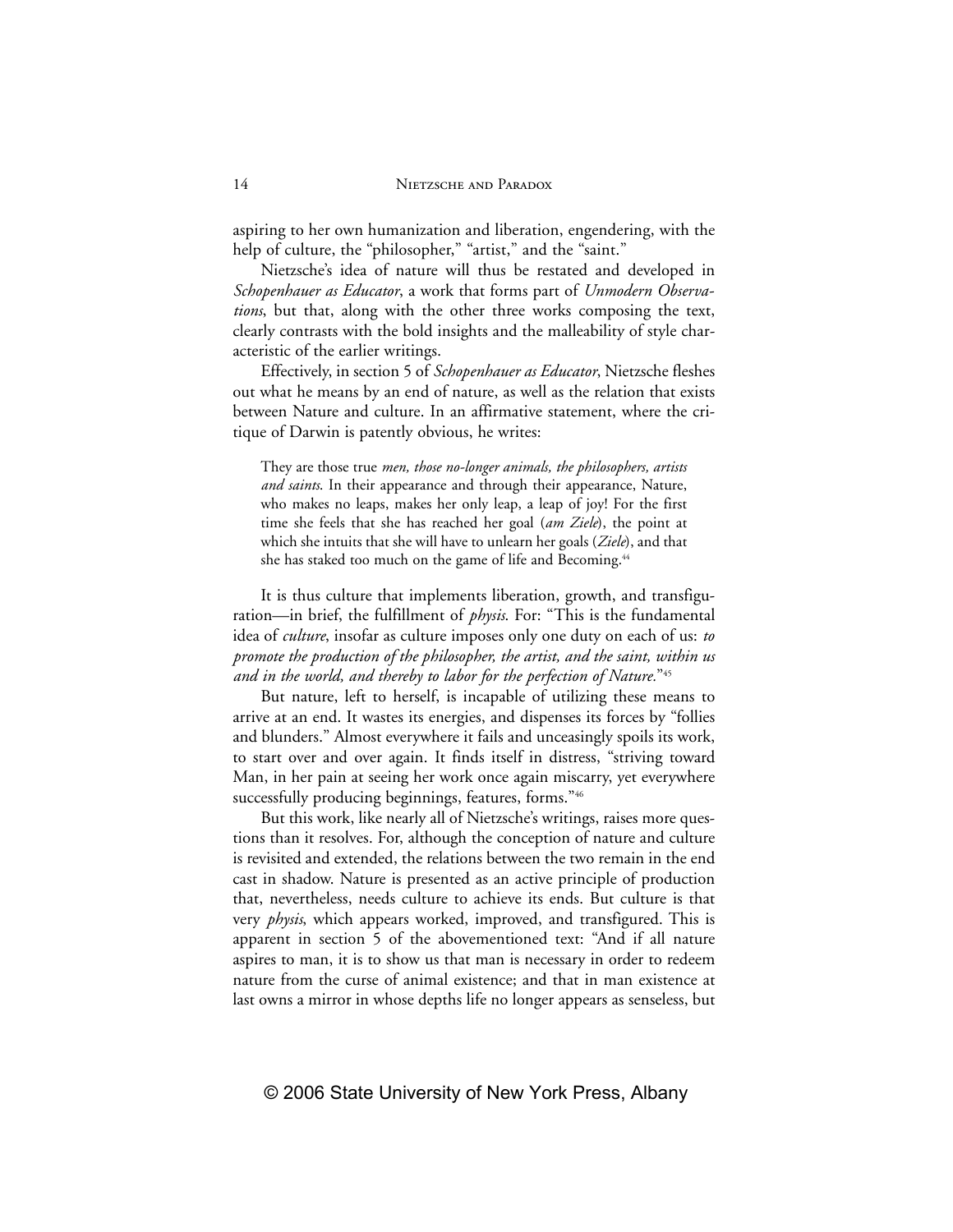aspiring to her own humanization and liberation, engendering, with the help of culture, the "philosopher," "artist," and the "saint."

Nietzsche's idea of nature will thus be restated and developed in *Schopenhauer as Educator*, a work that forms part of *Unmodern Observations*, but that, along with the other three works composing the text, clearly contrasts with the bold insights and the malleability of style characteristic of the earlier writings.

Effectively, in section 5 of *Schopenhauer as Educator*, Nietzsche fleshes out what he means by an end of nature, as well as the relation that exists between Nature and culture. In an affirmative statement, where the critique of Darwin is patently obvious, he writes:

They are those true *men, those no-longer animals, the philosophers, artists and saints*. In their appearance and through their appearance, Nature, who makes no leaps, makes her only leap, a leap of joy! For the first time she feels that she has reached her goal (*am Ziele*), the point at which she intuits that she will have to unlearn her goals (*Ziele*), and that she has staked too much on the game of life and Becoming.<sup>44</sup>

It is thus culture that implements liberation, growth, and transfiguration—in brief, the fulfillment of *physis*. For: "This is the fundamental idea of *culture*, insofar as culture imposes only one duty on each of us: *to promote the production of the philosopher, the artist, and the saint, within us and in the world, and thereby to labor for the perfection of Nature.*"45

But nature, left to herself, is incapable of utilizing these means to arrive at an end. It wastes its energies, and dispenses its forces by "follies and blunders." Almost everywhere it fails and unceasingly spoils its work, to start over and over again. It finds itself in distress, "striving toward Man, in her pain at seeing her work once again miscarry, yet everywhere successfully producing beginnings, features, forms."46

But this work, like nearly all of Nietzsche's writings, raises more questions than it resolves. For, although the conception of nature and culture is revisited and extended, the relations between the two remain in the end cast in shadow. Nature is presented as an active principle of production that, nevertheless, needs culture to achieve its ends. But culture is that very *physis*, which appears worked, improved, and transfigured. This is apparent in section 5 of the abovementioned text: "And if all nature aspires to man, it is to show us that man is necessary in order to redeem nature from the curse of animal existence; and that in man existence at last owns a mirror in whose depths life no longer appears as senseless, but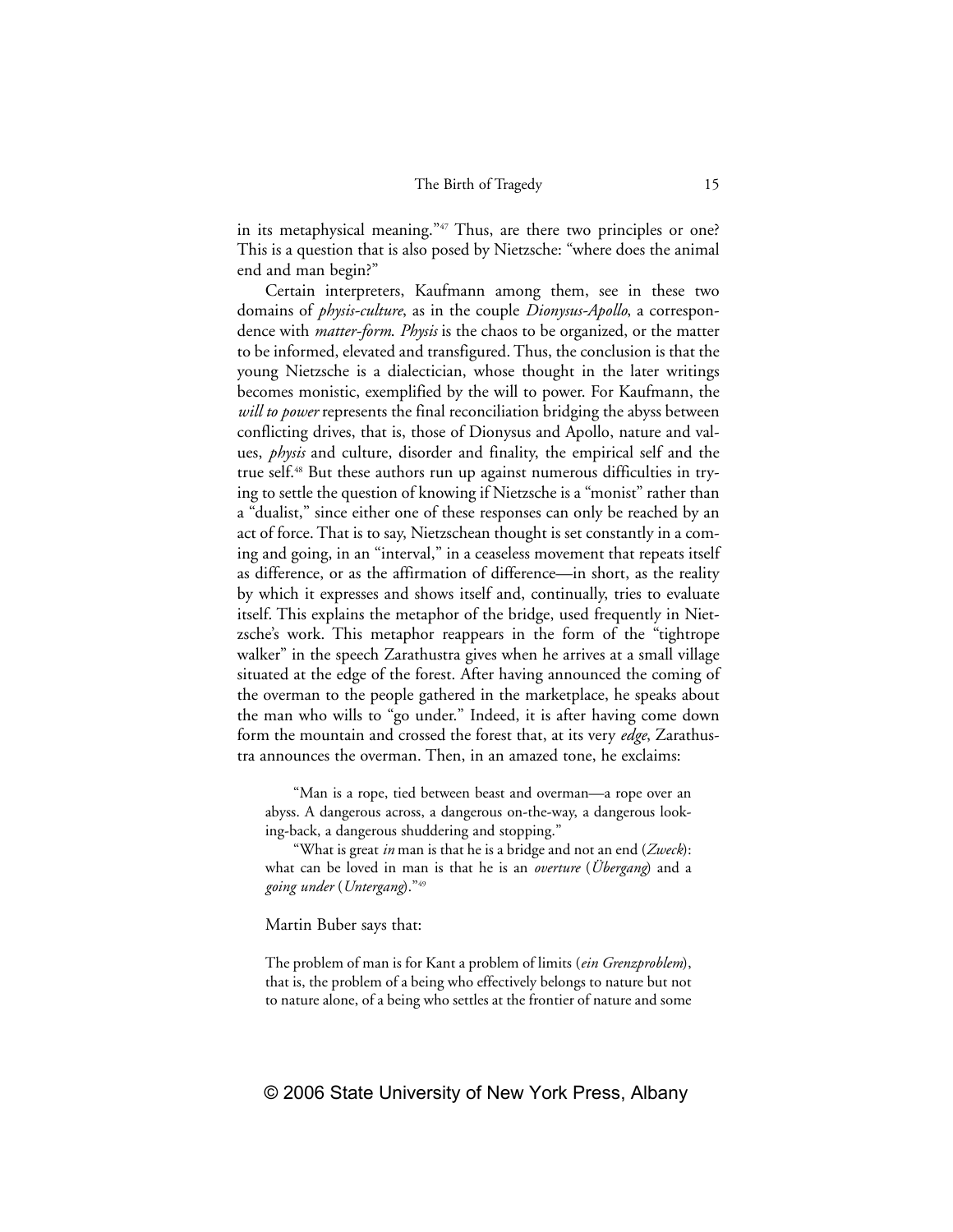in its metaphysical meaning."<sup>47</sup> Thus, are there two principles or one? This is a question that is also posed by Nietzsche: "where does the animal end and man begin?"

Certain interpreters, Kaufmann among them, see in these two domains of *physis-culture*, as in the couple *Dionysus-Apollo*, a correspondence with *matter-form*. *Physis* is the chaos to be organized, or the matter to be informed, elevated and transfigured. Thus, the conclusion is that the young Nietzsche is a dialectician, whose thought in the later writings becomes monistic, exemplified by the will to power. For Kaufmann, the *will to power* represents the final reconciliation bridging the abyss between conflicting drives, that is, those of Dionysus and Apollo, nature and values, *physis* and culture, disorder and finality, the empirical self and the true self.48 But these authors run up against numerous difficulties in trying to settle the question of knowing if Nietzsche is a "monist" rather than a "dualist," since either one of these responses can only be reached by an act of force. That is to say, Nietzschean thought is set constantly in a coming and going, in an "interval," in a ceaseless movement that repeats itself as difference, or as the affirmation of difference—in short, as the reality by which it expresses and shows itself and, continually, tries to evaluate itself. This explains the metaphor of the bridge, used frequently in Nietzsche's work. This metaphor reappears in the form of the "tightrope walker" in the speech Zarathustra gives when he arrives at a small village situated at the edge of the forest. After having announced the coming of the overman to the people gathered in the marketplace, he speaks about the man who wills to "go under." Indeed, it is after having come down form the mountain and crossed the forest that, at its very *edge*, Zarathustra announces the overman. Then, in an amazed tone, he exclaims:

"Man is a rope, tied between beast and overman—a rope over an abyss. A dangerous across, a dangerous on-the-way, a dangerous looking-back, a dangerous shuddering and stopping."

"What is great *in* man is that he is a bridge and not an end (*Zweck*): what can be loved in man is that he is an *overture* (*Übergang*) and a *going under* (*Untergang*)."49

#### Martin Buber says that:

The problem of man is for Kant a problem of limits (*ein Grenzproblem*), that is, the problem of a being who effectively belongs to nature but not to nature alone, of a being who settles at the frontier of nature and some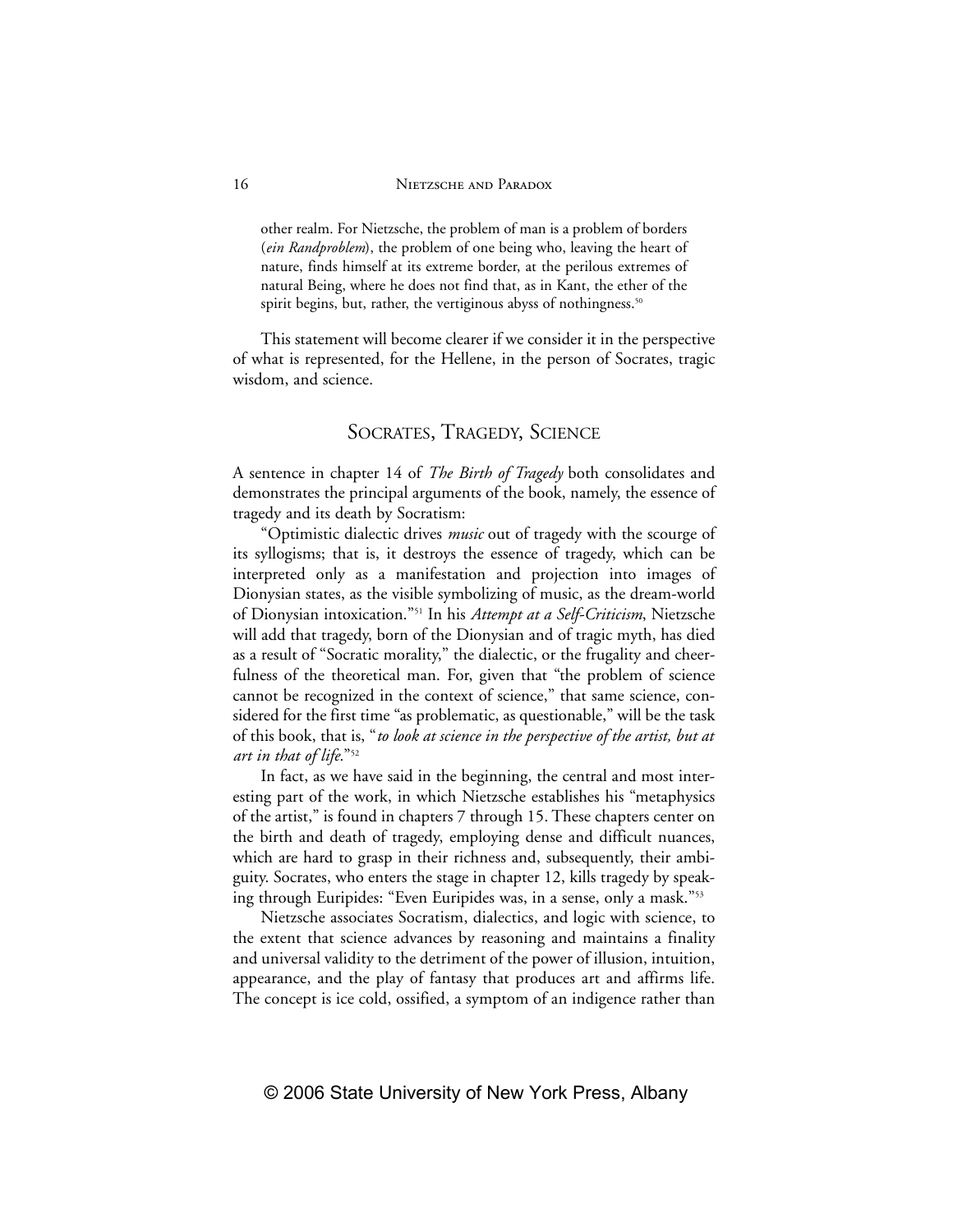other realm. For Nietzsche, the problem of man is a problem of borders (*ein Randproblem*), the problem of one being who, leaving the heart of nature, finds himself at its extreme border, at the perilous extremes of natural Being, where he does not find that, as in Kant, the ether of the spirit begins, but, rather, the vertiginous abyss of nothingness.<sup>50</sup>

This statement will become clearer if we consider it in the perspective of what is represented, for the Hellene, in the person of Socrates, tragic wisdom, and science.

## SOCRATES, TRAGEDY, SCIENCE

A sentence in chapter 14 of *The Birth of Tragedy* both consolidates and demonstrates the principal arguments of the book, namely, the essence of tragedy and its death by Socratism:

"Optimistic dialectic drives *music* out of tragedy with the scourge of its syllogisms; that is, it destroys the essence of tragedy, which can be interpreted only as a manifestation and projection into images of Dionysian states, as the visible symbolizing of music, as the dream-world of Dionysian intoxication."51 In his *Attempt at a Self-Criticism*, Nietzsche will add that tragedy, born of the Dionysian and of tragic myth, has died as a result of "Socratic morality," the dialectic, or the frugality and cheerfulness of the theoretical man. For, given that "the problem of science cannot be recognized in the context of science," that same science, considered for the first time "as problematic, as questionable," will be the task of this book, that is, "*to look at science in the perspective of the artist, but at art in that of life*."52

In fact, as we have said in the beginning, the central and most interesting part of the work, in which Nietzsche establishes his "metaphysics of the artist," is found in chapters 7 through 15. These chapters center on the birth and death of tragedy, employing dense and difficult nuances, which are hard to grasp in their richness and, subsequently, their ambiguity. Socrates, who enters the stage in chapter 12, kills tragedy by speaking through Euripides: "Even Euripides was, in a sense, only a mask."53

Nietzsche associates Socratism, dialectics, and logic with science, to the extent that science advances by reasoning and maintains a finality and universal validity to the detriment of the power of illusion, intuition, appearance, and the play of fantasy that produces art and affirms life. The concept is ice cold, ossified, a symptom of an indigence rather than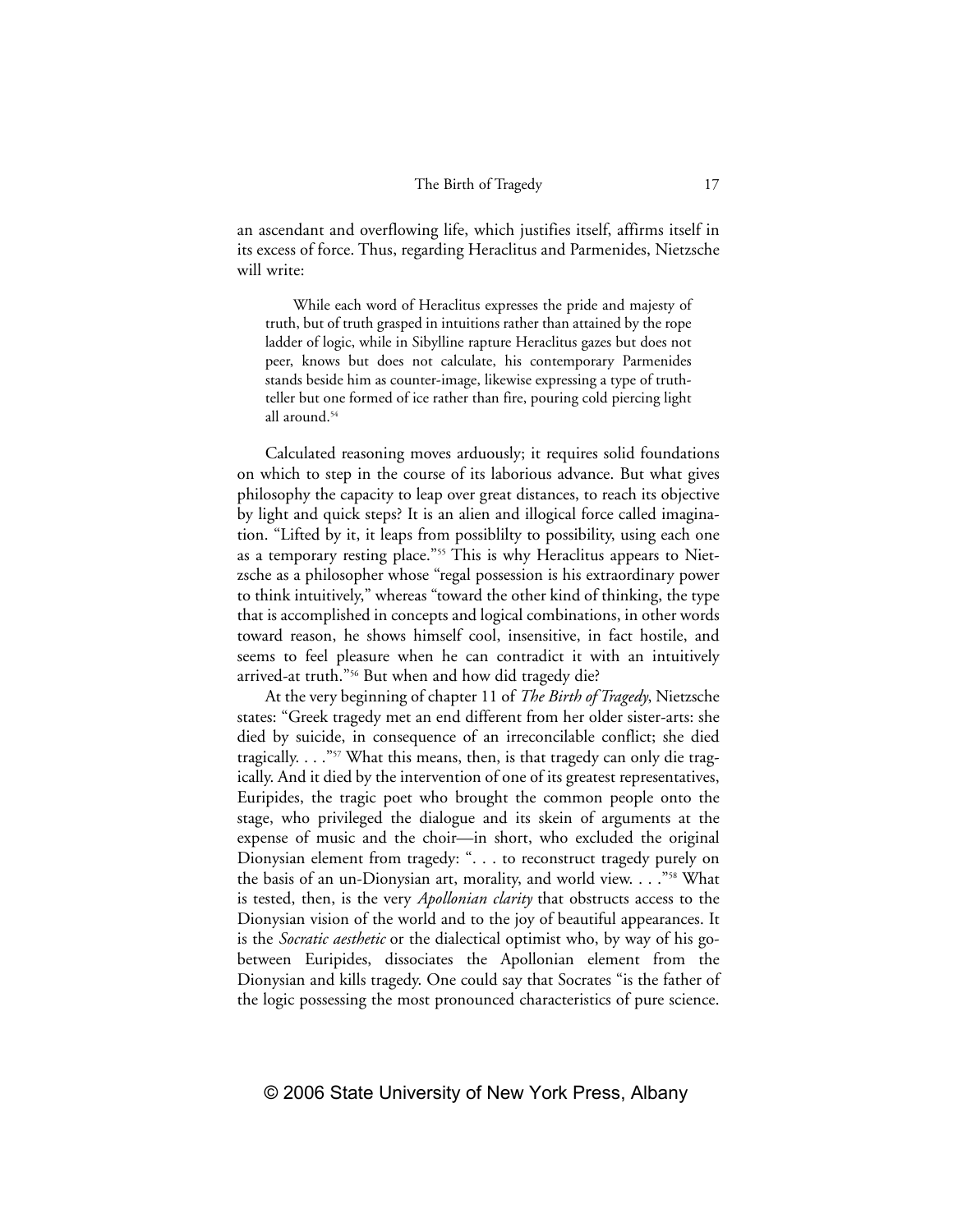an ascendant and overflowing life, which justifies itself, affirms itself in its excess of force. Thus, regarding Heraclitus and Parmenides, Nietzsche will write:

While each word of Heraclitus expresses the pride and majesty of truth, but of truth grasped in intuitions rather than attained by the rope ladder of logic, while in Sibylline rapture Heraclitus gazes but does not peer, knows but does not calculate, his contemporary Parmenides stands beside him as counter-image, likewise expressing a type of truthteller but one formed of ice rather than fire, pouring cold piercing light all around.54

Calculated reasoning moves arduously; it requires solid foundations on which to step in the course of its laborious advance. But what gives philosophy the capacity to leap over great distances, to reach its objective by light and quick steps? It is an alien and illogical force called imagination. "Lifted by it, it leaps from possiblilty to possibility, using each one as a temporary resting place."55 This is why Heraclitus appears to Nietzsche as a philosopher whose "regal possession is his extraordinary power to think intuitively," whereas "toward the other kind of thinking, the type that is accomplished in concepts and logical combinations, in other words toward reason, he shows himself cool, insensitive, in fact hostile, and seems to feel pleasure when he can contradict it with an intuitively arrived-at truth."56 But when and how did tragedy die?

At the very beginning of chapter 11 of *The Birth of Tragedy*, Nietzsche states: "Greek tragedy met an end different from her older sister-arts: she died by suicide, in consequence of an irreconcilable conflict; she died tragically.  $\ldots$ <sup>"57</sup> What this means, then, is that tragedy can only die tragically. And it died by the intervention of one of its greatest representatives, Euripides, the tragic poet who brought the common people onto the stage, who privileged the dialogue and its skein of arguments at the expense of music and the choir—in short, who excluded the original Dionysian element from tragedy: ". . . to reconstruct tragedy purely on the basis of an un-Dionysian art, morality, and world view. . . ."58 What is tested, then, is the very *Apollonian clarity* that obstructs access to the Dionysian vision of the world and to the joy of beautiful appearances. It is the *Socratic aesthetic* or the dialectical optimist who, by way of his gobetween Euripides, dissociates the Apollonian element from the Dionysian and kills tragedy. One could say that Socrates "is the father of the logic possessing the most pronounced characteristics of pure science.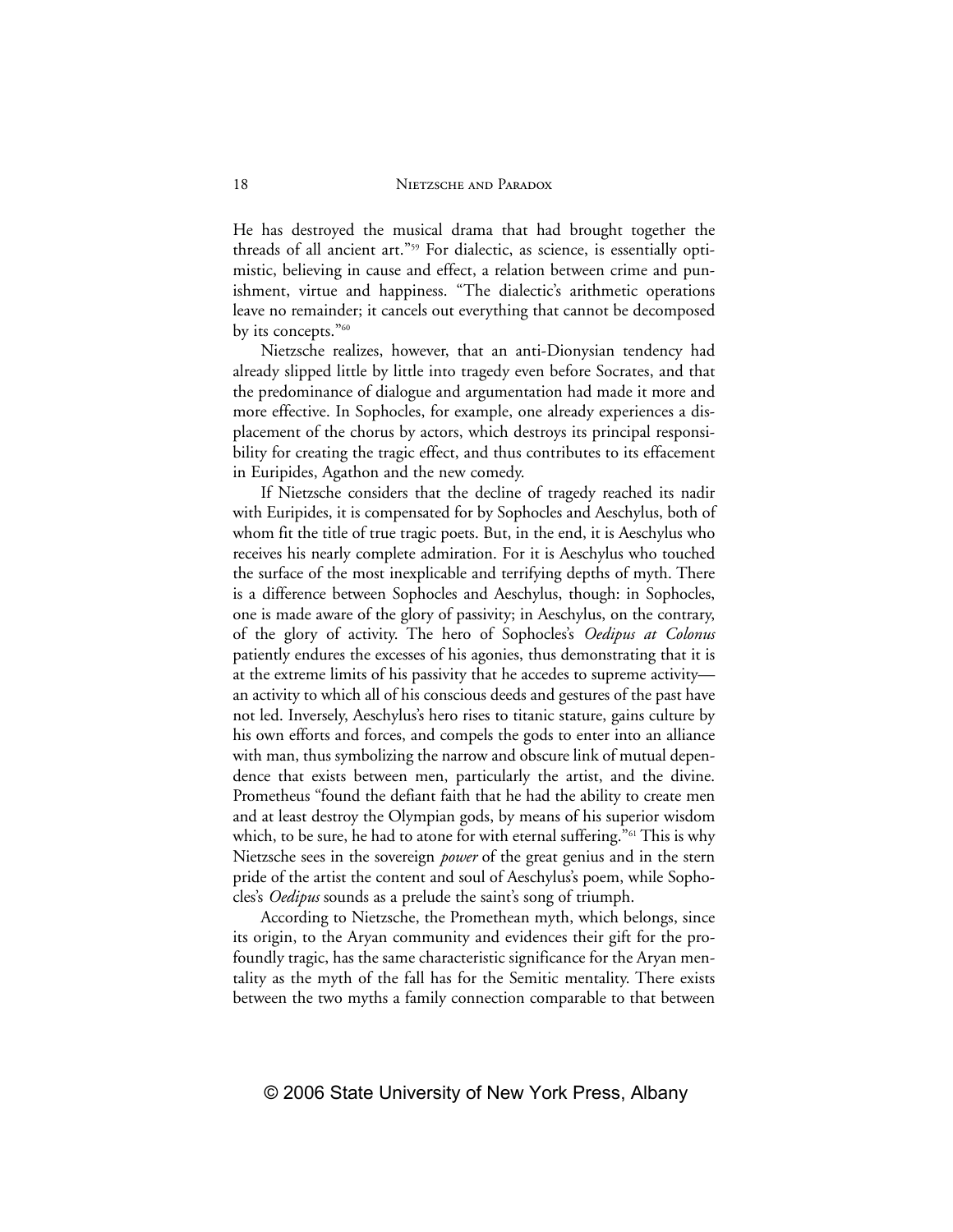He has destroyed the musical drama that had brought together the threads of all ancient art."59 For dialectic, as science, is essentially optimistic, believing in cause and effect, a relation between crime and punishment, virtue and happiness. "The dialectic's arithmetic operations leave no remainder; it cancels out everything that cannot be decomposed by its concepts."<sup>60</sup>

Nietzsche realizes, however, that an anti-Dionysian tendency had already slipped little by little into tragedy even before Socrates, and that the predominance of dialogue and argumentation had made it more and more effective. In Sophocles, for example, one already experiences a displacement of the chorus by actors, which destroys its principal responsibility for creating the tragic effect, and thus contributes to its effacement in Euripides, Agathon and the new comedy.

If Nietzsche considers that the decline of tragedy reached its nadir with Euripides, it is compensated for by Sophocles and Aeschylus, both of whom fit the title of true tragic poets. But, in the end, it is Aeschylus who receives his nearly complete admiration. For it is Aeschylus who touched the surface of the most inexplicable and terrifying depths of myth. There is a difference between Sophocles and Aeschylus, though: in Sophocles, one is made aware of the glory of passivity; in Aeschylus, on the contrary, of the glory of activity. The hero of Sophocles's *Oedipus at Colonus* patiently endures the excesses of his agonies, thus demonstrating that it is at the extreme limits of his passivity that he accedes to supreme activity an activity to which all of his conscious deeds and gestures of the past have not led. Inversely, Aeschylus's hero rises to titanic stature, gains culture by his own efforts and forces, and compels the gods to enter into an alliance with man, thus symbolizing the narrow and obscure link of mutual dependence that exists between men, particularly the artist, and the divine. Prometheus "found the defiant faith that he had the ability to create men and at least destroy the Olympian gods, by means of his superior wisdom which, to be sure, he had to atone for with eternal suffering."<sup>61</sup> This is why Nietzsche sees in the sovereign *power* of the great genius and in the stern pride of the artist the content and soul of Aeschylus's poem, while Sophocles's *Oedipus* sounds as a prelude the saint's song of triumph.

According to Nietzsche, the Promethean myth, which belongs, since its origin, to the Aryan community and evidences their gift for the profoundly tragic, has the same characteristic significance for the Aryan mentality as the myth of the fall has for the Semitic mentality. There exists between the two myths a family connection comparable to that between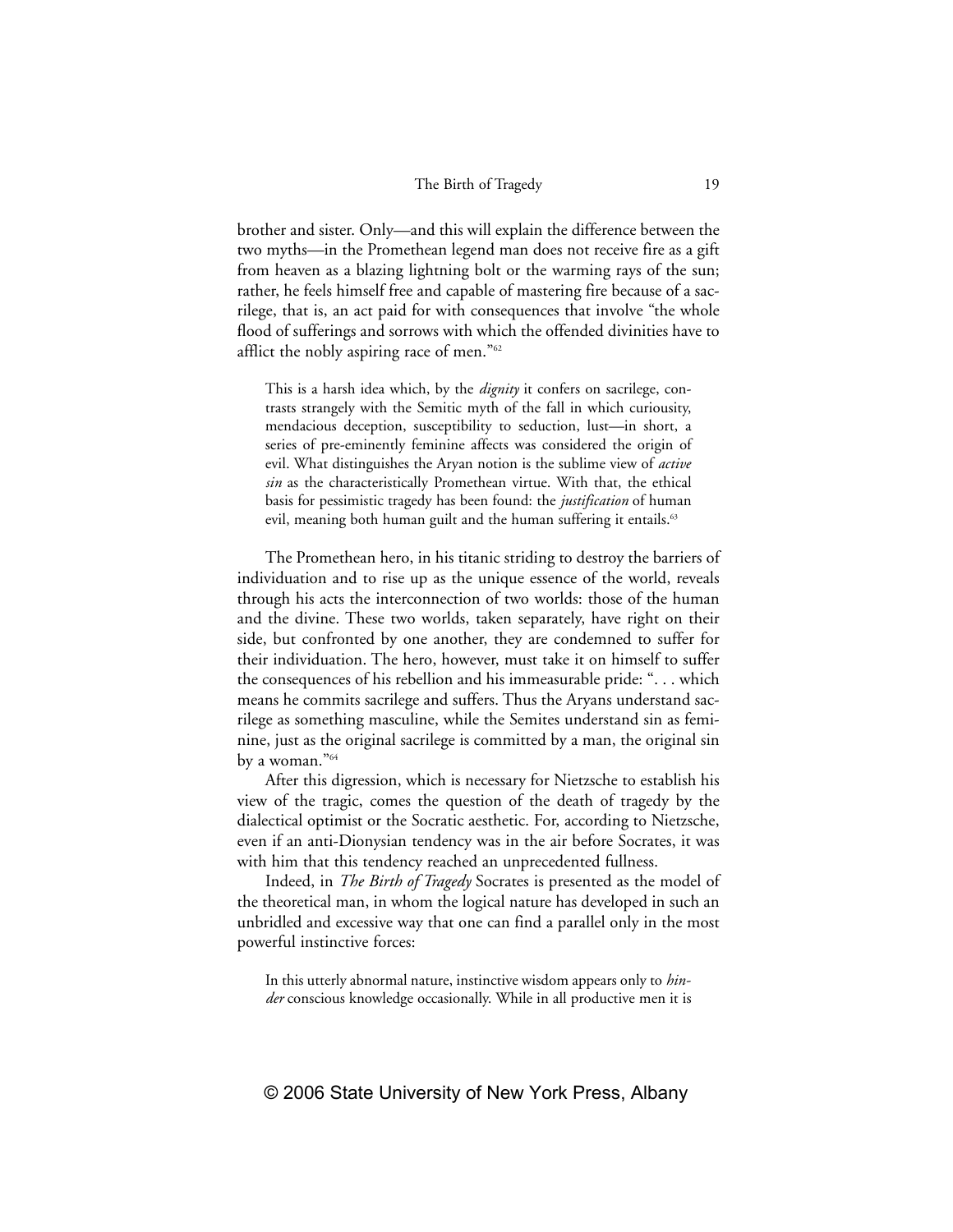brother and sister. Only—and this will explain the difference between the two myths—in the Promethean legend man does not receive fire as a gift from heaven as a blazing lightning bolt or the warming rays of the sun; rather, he feels himself free and capable of mastering fire because of a sacrilege, that is, an act paid for with consequences that involve "the whole flood of sufferings and sorrows with which the offended divinities have to afflict the nobly aspiring race of men."<sup>62</sup>

This is a harsh idea which, by the *dignity* it confers on sacrilege, contrasts strangely with the Semitic myth of the fall in which curiousity, mendacious deception, susceptibility to seduction, lust—in short, a series of pre-eminently feminine affects was considered the origin of evil. What distinguishes the Aryan notion is the sublime view of *active sin* as the characteristically Promethean virtue. With that, the ethical basis for pessimistic tragedy has been found: the *justification* of human evil, meaning both human guilt and the human suffering it entails.<sup>63</sup>

The Promethean hero, in his titanic striding to destroy the barriers of individuation and to rise up as the unique essence of the world, reveals through his acts the interconnection of two worlds: those of the human and the divine. These two worlds, taken separately, have right on their side, but confronted by one another, they are condemned to suffer for their individuation. The hero, however, must take it on himself to suffer the consequences of his rebellion and his immeasurable pride: ". . . which means he commits sacrilege and suffers. Thus the Aryans understand sacrilege as something masculine, while the Semites understand sin as feminine, just as the original sacrilege is committed by a man, the original sin by a woman."64

After this digression, which is necessary for Nietzsche to establish his view of the tragic, comes the question of the death of tragedy by the dialectical optimist or the Socratic aesthetic. For, according to Nietzsche, even if an anti-Dionysian tendency was in the air before Socrates, it was with him that this tendency reached an unprecedented fullness.

Indeed, in *The Birth of Tragedy* Socrates is presented as the model of the theoretical man, in whom the logical nature has developed in such an unbridled and excessive way that one can find a parallel only in the most powerful instinctive forces:

In this utterly abnormal nature, instinctive wisdom appears only to *hinder* conscious knowledge occasionally. While in all productive men it is